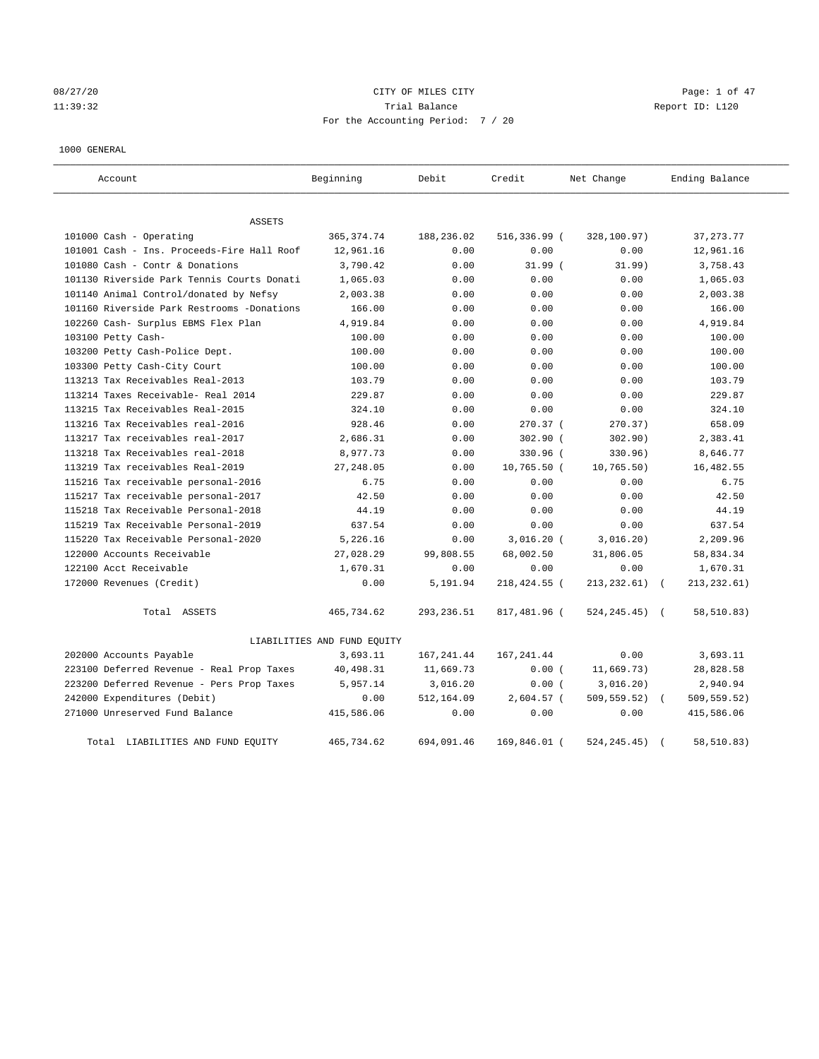08/27/20 Page: 1 of 47 11:39:32 Trial Balance Report ID: L120 For the Accounting Period: 7 / 20

## 1000 GENERAL

| Account                                    | Beginning                   | Debit       | Credit       | Net Change       | Ending Balance |
|--------------------------------------------|-----------------------------|-------------|--------------|------------------|----------------|
| <b>ASSETS</b>                              |                             |             |              |                  |                |
| 101000 Cash - Operating                    | 365, 374.74                 | 188,236.02  | 516,336.99 ( | 328,100.97)      | 37, 273. 77    |
| 101001 Cash - Ins. Proceeds-Fire Hall Roof | 12,961.16                   | 0.00        | 0.00         | 0.00             | 12,961.16      |
| 101080 Cash - Contr & Donations            | 3,790.42                    | 0.00        | $31.99$ (    | 31.99)           | 3,758.43       |
| 101130 Riverside Park Tennis Courts Donati | 1,065.03                    | 0.00        | 0.00         | 0.00             | 1,065.03       |
| 101140 Animal Control/donated by Nefsy     | 2,003.38                    | 0.00        | 0.00         | 0.00             | 2,003.38       |
| 101160 Riverside Park Restrooms -Donations | 166.00                      | 0.00        | 0.00         | 0.00             | 166.00         |
| 102260 Cash- Surplus EBMS Flex Plan        | 4,919.84                    | 0.00        | 0.00         | 0.00             | 4,919.84       |
| 103100 Petty Cash-                         | 100.00                      | 0.00        | 0.00         | 0.00             | 100.00         |
| 103200 Petty Cash-Police Dept.             | 100.00                      | 0.00        | 0.00         | 0.00             | 100.00         |
| 103300 Petty Cash-City Court               | 100.00                      | 0.00        | 0.00         | 0.00             | 100.00         |
| 113213 Tax Receivables Real-2013           | 103.79                      | 0.00        | 0.00         | 0.00             | 103.79         |
| 113214 Taxes Receivable- Real 2014         | 229.87                      | 0.00        | 0.00         | 0.00             | 229.87         |
| 113215 Tax Receivables Real-2015           | 324.10                      | 0.00        | 0.00         | 0.00             | 324.10         |
| 113216 Tax Receivables real-2016           | 928.46                      | 0.00        | 270.37 (     | 270.37)          | 658.09         |
| 113217 Tax receivables real-2017           | 2,686.31                    | 0.00        | 302.90 (     | 302.90)          | 2,383.41       |
| 113218 Tax Receivables real-2018           | 8,977.73                    | 0.00        | 330.96 (     | 330.96)          | 8,646.77       |
| 113219 Tax receivables Real-2019           | 27, 248.05                  | 0.00        | 10,765.50 (  | 10, 765.50)      | 16, 482.55     |
| 115216 Tax receivable personal-2016        | 6.75                        | 0.00        | 0.00         | 0.00             | 6.75           |
| 115217 Tax receivable personal-2017        | 42.50                       | 0.00        | 0.00         | 0.00             | 42.50          |
| 115218 Tax Receivable Personal-2018        | 44.19                       | 0.00        | 0.00         | 0.00             | 44.19          |
| 115219 Tax Receivable Personal-2019        | 637.54                      | 0.00        | 0.00         | 0.00             | 637.54         |
| 115220 Tax Receivable Personal-2020        | 5,226.16                    | 0.00        | $3,016.20$ ( | 3,016.20)        | 2,209.96       |
| 122000 Accounts Receivable                 | 27,028.29                   | 99,808.55   | 68,002.50    | 31,806.05        | 58,834.34      |
| 122100 Acct Receivable                     | 1,670.31                    | 0.00        | 0.00         | 0.00             | 1,670.31       |
| 172000 Revenues (Credit)                   | 0.00                        | 5,191.94    | 218,424.55 ( | 213, 232.61)     | 213, 232.61)   |
| Total ASSETS                               | 465,734.62                  | 293, 236.51 | 817,481.96 ( | $524, 245.45)$ ( | 58,510.83)     |
|                                            | LIABILITIES AND FUND EQUITY |             |              |                  |                |
| 202000 Accounts Payable                    | 3,693.11                    | 167, 241.44 | 167, 241.44  | 0.00             | 3,693.11       |
| 223100 Deferred Revenue - Real Prop Taxes  | 40,498.31                   | 11,669.73   | 0.00(        | 11,669.73)       | 28,828.58      |
| 223200 Deferred Revenue - Pers Prop Taxes  | 5,957.14                    | 3,016.20    | 0.00(        | 3,016.20)        | 2,940.94       |
| 242000 Expenditures (Debit)                | 0.00                        | 512,164.09  | 2,604.57 (   | 509,559.52)      | 509,559.52)    |
| 271000 Unreserved Fund Balance             | 415,586.06                  | 0.00        | 0.00         | 0.00             | 415,586.06     |
| Total LIABILITIES AND FUND EQUITY          | 465,734.62                  | 694,091.46  | 169,846.01 ( | 524, 245.45)     | 58,510.83)     |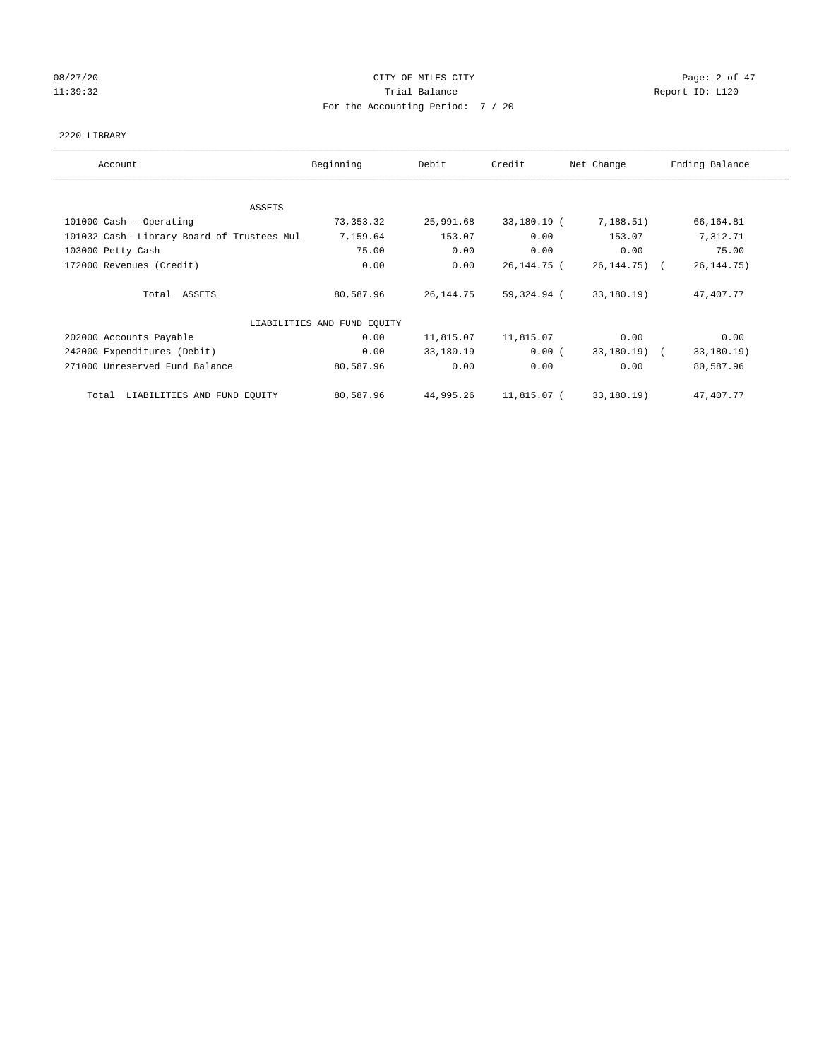# 08/27/20 **Page: 2 of 47** CITY OF MILES CITY CONTROL Page: 2 of 47 11:39:32 Report ID: L120 For the Accounting Period: 7 / 20

## 2220 LIBRARY

| Account                                    | Beginning                   | Debit       | Credit      | Net Change     | Ending Balance |
|--------------------------------------------|-----------------------------|-------------|-------------|----------------|----------------|
| ASSETS                                     |                             |             |             |                |                |
| 101000 Cash - Operating                    | 73,353.32                   | 25,991.68   | 33,180.19 ( | 7,188.51)      | 66,164.81      |
| 101032 Cash- Library Board of Trustees Mul | 7,159.64                    | 153.07      | 0.00        | 153.07         | 7,312.71       |
| 103000 Petty Cash                          | 75.00                       | 0.00        | 0.00        | 0.00           | 75.00          |
| 172000 Revenues (Credit)                   | 0.00                        | 0.00        | 26,144.75 ( | 26, 144. 75) ( | 26, 144.75)    |
| Total ASSETS                               | 80,587.96                   | 26, 144. 75 | 59,324.94 ( | 33,180.19)     | 47,407.77      |
|                                            | LIABILITIES AND FUND EQUITY |             |             |                |                |
| 202000 Accounts Payable                    | 0.00                        | 11,815.07   | 11,815.07   | 0.00           | 0.00           |
| 242000 Expenditures (Debit)                | 0.00                        | 33,180.19   | 0.00(       | 33,180.19) (   | 33,180.19)     |
| 271000 Unreserved Fund Balance             | 80,587.96                   | 0.00        | 0.00        | 0.00           | 80,587.96      |
| LIABILITIES AND FUND EQUITY<br>Total       | 80,587.96                   | 44,995.26   | 11,815.07 ( | 33,180.19)     | 47,407.77      |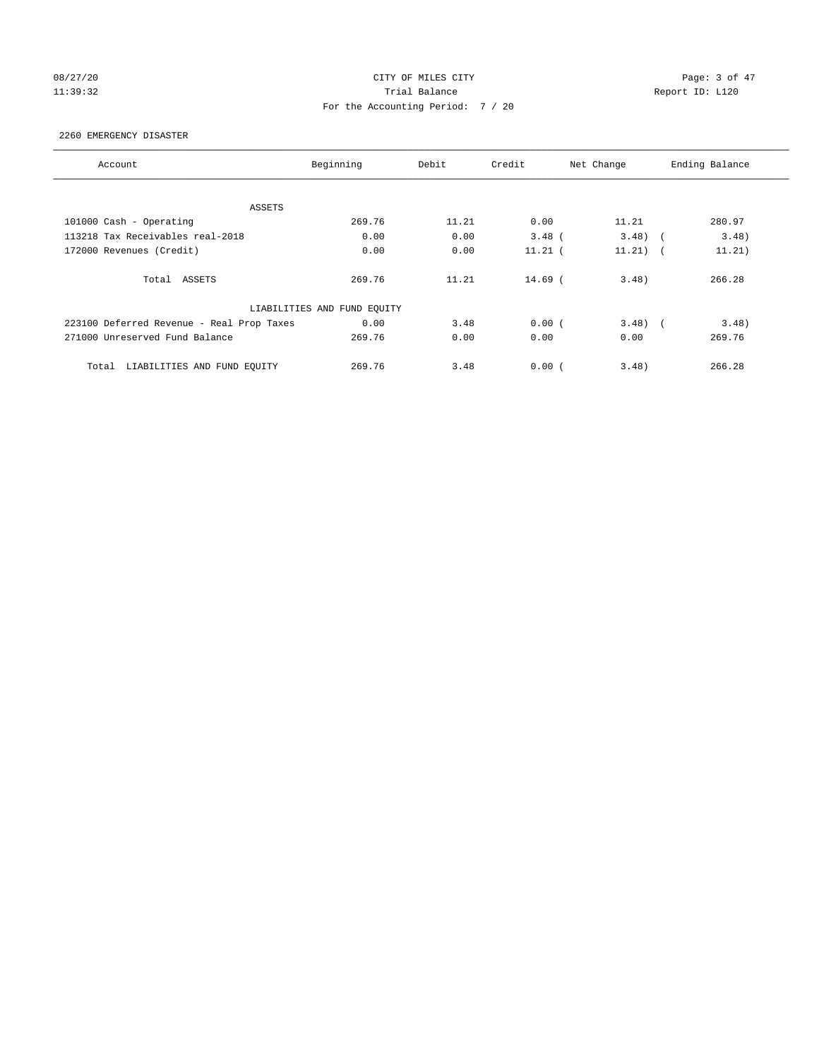# 08/27/20 **Page: 3 of 47** CITY OF MILES CITY CONTROL Page: 3 of 47 11:39:32 Report ID: L120 For the Accounting Period: 7 / 20

## 2260 EMERGENCY DISASTER

| Account                                   | Beginning                   | Debit | Credit    | Net Change | Ending Balance       |
|-------------------------------------------|-----------------------------|-------|-----------|------------|----------------------|
|                                           |                             |       |           |            |                      |
| ASSETS                                    |                             |       |           |            |                      |
| 101000 Cash - Operating                   | 269.76                      | 11.21 | 0.00      | 11.21      | 280.97               |
| 113218 Tax Receivables real-2018          | 0.00                        | 0.00  | $3.48$ (  | $3.48$ (   | 3.48)                |
| 172000 Revenues (Credit)                  | 0.00                        | 0.00  | $11.21$ ( | 11.21)     | 11.21)<br>$\sqrt{2}$ |
| Total ASSETS                              | 269.76                      | 11.21 | $14.69$ ( | 3.48)      | 266.28               |
|                                           | LIABILITIES AND FUND EQUITY |       |           |            |                      |
| 223100 Deferred Revenue - Real Prop Taxes | 0.00                        | 3.48  | 0.00(     | $3.48$ (   | 3.48)                |
| 271000 Unreserved Fund Balance            | 269.76                      | 0.00  | 0.00      | 0.00       | 269.76               |
| LIABILITIES AND FUND EQUITY<br>Total      | 269.76                      | 3.48  | 0.00(     | 3.48)      | 266.28               |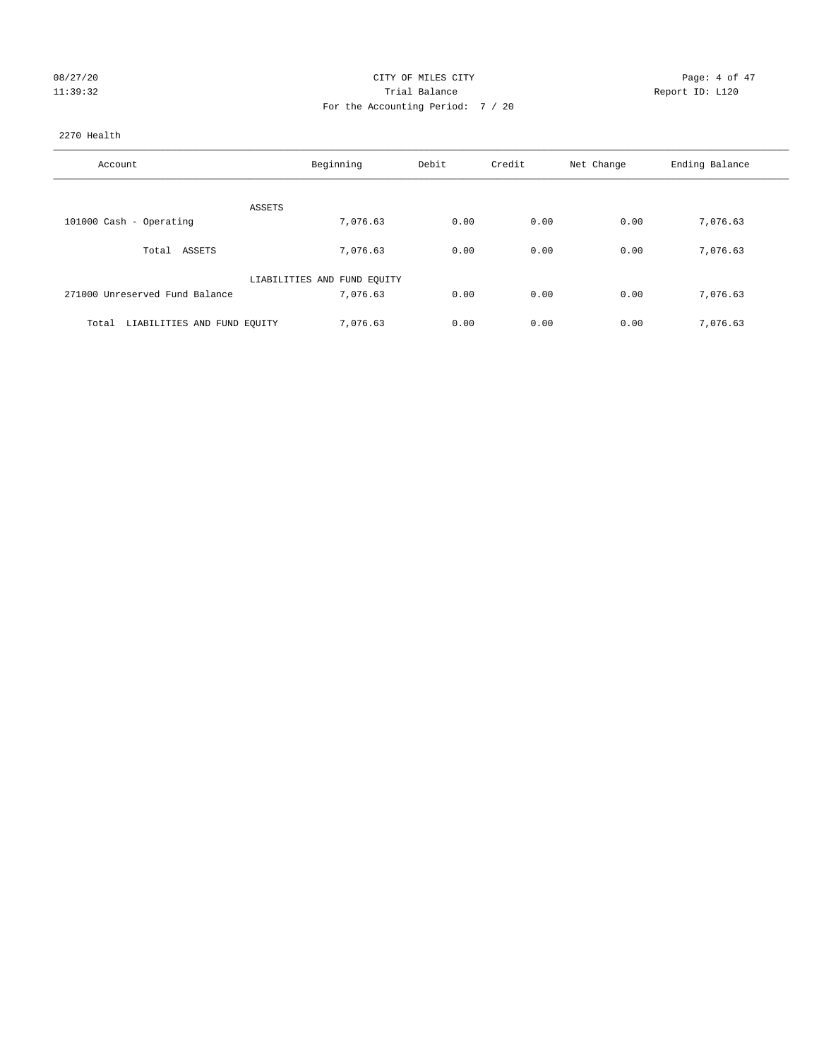| 08/27/20 |  |  |          |
|----------|--|--|----------|
|          |  |  | 11:39:32 |

# CITY OF MILES CITY CONTROL CONTROL CONTROL CITY 11:39:32 Trial Balance Trial Balance Report ID: L120 For the Accounting Period: 7 / 20

## 2270 Health

| Account                              | Beginning                   | Debit | Credit | Net Change | Ending Balance |
|--------------------------------------|-----------------------------|-------|--------|------------|----------------|
|                                      |                             |       |        |            |                |
| ASSETS                               |                             |       |        |            |                |
| 101000 Cash - Operating              | 7,076.63                    | 0.00  | 0.00   | 0.00       | 7,076.63       |
| ASSETS<br>Total                      | 7,076.63                    | 0.00  | 0.00   | 0.00       | 7,076.63       |
|                                      | LIABILITIES AND FUND EQUITY |       |        |            |                |
| 271000 Unreserved Fund Balance       | 7,076.63                    | 0.00  | 0.00   | 0.00       | 7,076.63       |
| LIABILITIES AND FUND EQUITY<br>Total | 7,076.63                    | 0.00  | 0.00   | 0.00       | 7.076.63       |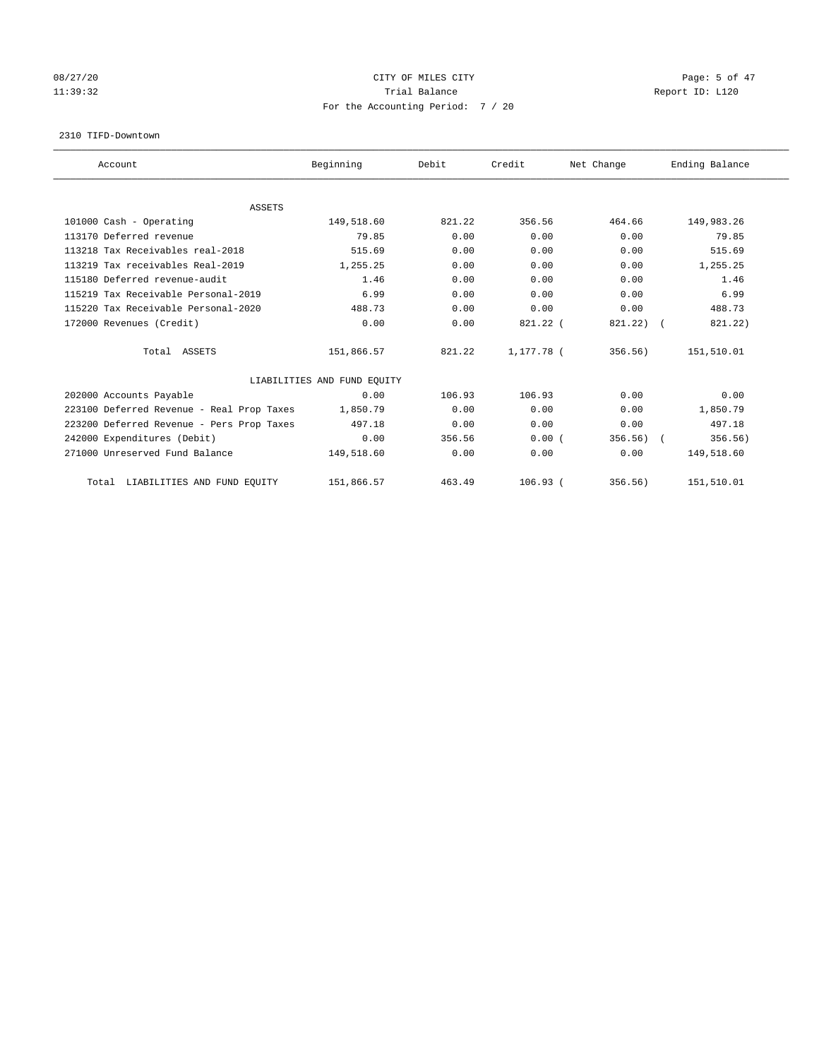# 08/27/20 **Page: 5 of 47** CITY OF MILES CITY CONTROL Page: 5 of 47 11:39:32 Report ID: L120 For the Accounting Period: 7 / 20

#### 2310 TIFD-Downtown

| Account                                   | Beginning                   | Debit  | Credit       | Net Change | Ending Balance |
|-------------------------------------------|-----------------------------|--------|--------------|------------|----------------|
|                                           |                             |        |              |            |                |
| <b>ASSETS</b>                             |                             |        |              |            |                |
| 101000 Cash - Operating                   | 149,518.60                  | 821.22 | 356.56       | 464.66     | 149,983.26     |
| 113170 Deferred revenue                   | 79.85                       | 0.00   | 0.00         | 0.00       | 79.85          |
| 113218 Tax Receivables real-2018          | 515.69                      | 0.00   | 0.00         | 0.00       | 515.69         |
| 113219 Tax receivables Real-2019          | 1,255.25                    | 0.00   | 0.00         | 0.00       | 1,255.25       |
| 115180 Deferred revenue-audit             | 1.46                        | 0.00   | 0.00         | 0.00       | 1.46           |
| 115219 Tax Receivable Personal-2019       | 6.99                        | 0.00   | 0.00         | 0.00       | 6.99           |
| 115220 Tax Receivable Personal-2020       | 488.73                      | 0.00   | 0.00         | 0.00       | 488.73         |
| 172000 Revenues (Credit)                  | 0.00                        | 0.00   | $821.22$ (   | 821.22)    | 821.22)        |
| Total ASSETS                              | 151,866.57                  | 821.22 | 1,177.78 (   | 356.56)    | 151,510.01     |
|                                           | LIABILITIES AND FUND EQUITY |        |              |            |                |
| 202000 Accounts Payable                   | 0.00                        | 106.93 | 106.93       | 0.00       | 0.00           |
| 223100 Deferred Revenue - Real Prop Taxes | 1,850.79                    | 0.00   | 0.00         | 0.00       | 1,850.79       |
| 223200 Deferred Revenue - Pers Prop Taxes | 497.18                      | 0.00   | 0.00         | 0.00       | 497.18         |
| 242000 Expenditures (Debit)               | 0.00                        | 356.56 | 0.00(        | 356.56)    | 356.56)        |
| 271000 Unreserved Fund Balance            | 149,518.60                  | 0.00   | 0.00         | 0.00       | 149,518.60     |
| LIABILITIES AND FUND EQUITY<br>Total      | 151,866.57                  | 463.49 | $106.93$ $($ | 356.56)    | 151,510.01     |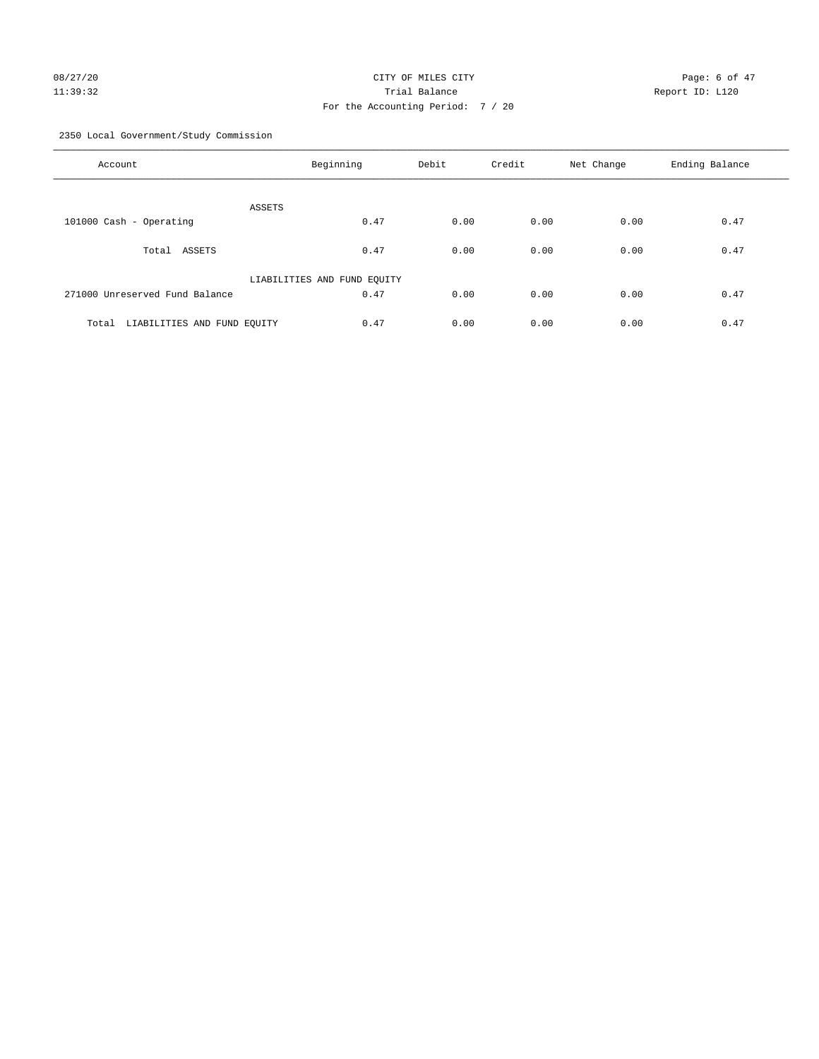# 08/27/20 **Page: 6 of 47** CITY OF MILES CITY CONTROL Page: 6 of 47 11:39:32 Trial Balance Report ID: L120 For the Accounting Period: 7 / 20

2350 Local Government/Study Commission

| Account                              | Beginning                   | Debit | Credit | Net Change | Ending Balance |
|--------------------------------------|-----------------------------|-------|--------|------------|----------------|
| ASSETS                               |                             |       |        |            |                |
| 101000 Cash - Operating              | 0.47                        | 0.00  | 0.00   | 0.00       | 0.47           |
|                                      |                             |       |        |            |                |
| Total ASSETS                         | 0.47                        | 0.00  | 0.00   | 0.00       | 0.47           |
|                                      |                             |       |        |            |                |
|                                      | LIABILITIES AND FUND EQUITY |       |        |            |                |
| 271000 Unreserved Fund Balance       | 0.47                        | 0.00  | 0.00   | 0.00       | 0.47           |
|                                      |                             |       |        |            |                |
| LIABILITIES AND FUND EQUITY<br>Total | 0.47                        | 0.00  | 0.00   | 0.00       | 0.47           |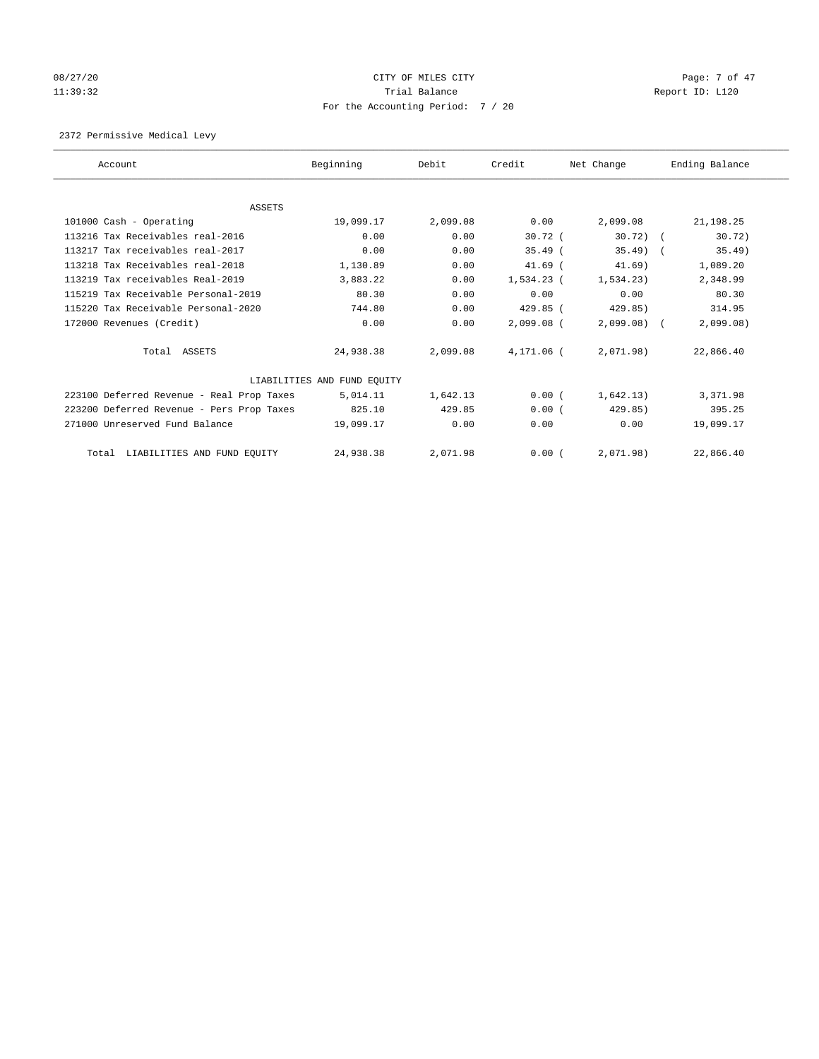# 08/27/20 Page: 7 of 47 11:39:32 Report ID: L120 For the Accounting Period: 7 / 20

2372 Permissive Medical Levy

| Account                                   | Beginning                   | Debit    | Credit       | Net Change  | Ending Balance |
|-------------------------------------------|-----------------------------|----------|--------------|-------------|----------------|
|                                           |                             |          |              |             |                |
| ASSETS                                    |                             |          |              |             |                |
| 101000 Cash - Operating                   | 19,099.17                   | 2,099.08 | 0.00         | 2,099.08    | 21,198.25      |
| 113216 Tax Receivables real-2016          | 0.00                        | 0.00     | $30.72$ (    | $30.72$ ) ( | 30.72)         |
| 113217 Tax receivables real-2017          | 0.00                        | 0.00     | $35.49$ (    | $35.49$ (   | 35.49)         |
| 113218 Tax Receivables real-2018          | 1,130.89                    | 0.00     | $41.69$ (    | 41.69)      | 1,089.20       |
| 113219 Tax receivables Real-2019          | 3,883.22                    | 0.00     | 1,534.23 (   | 1,534.23    | 2,348.99       |
| 115219 Tax Receivable Personal-2019       | 80.30                       | 0.00     | 0.00         | 0.00        | 80.30          |
| 115220 Tax Receivable Personal-2020       | 744.80                      | 0.00     | $429.85$ (   | 429.85)     | 314.95         |
| 172000 Revenues (Credit)                  | 0.00                        | 0.00     | $2,099.08$ ( | 2,099.08    | 2,099.08       |
| Total ASSETS                              | 24,938.38                   | 2,099.08 | 4,171.06 (   | 2,071.98)   | 22,866.40      |
|                                           | LIABILITIES AND FUND EQUITY |          |              |             |                |
| 223100 Deferred Revenue - Real Prop Taxes | 5,014.11                    | 1,642.13 | 0.00(        | 1,642.13)   | 3,371.98       |
| 223200 Deferred Revenue - Pers Prop Taxes | 825.10                      | 429.85   | 0.00(        | 429.85)     | 395.25         |
| 271000 Unreserved Fund Balance            | 19,099.17                   | 0.00     | 0.00         | 0.00        | 19,099.17      |
| Total LIABILITIES AND FUND EQUITY         | 24,938.38                   | 2,071.98 | 0.00(        | 2,071.98)   | 22,866.40      |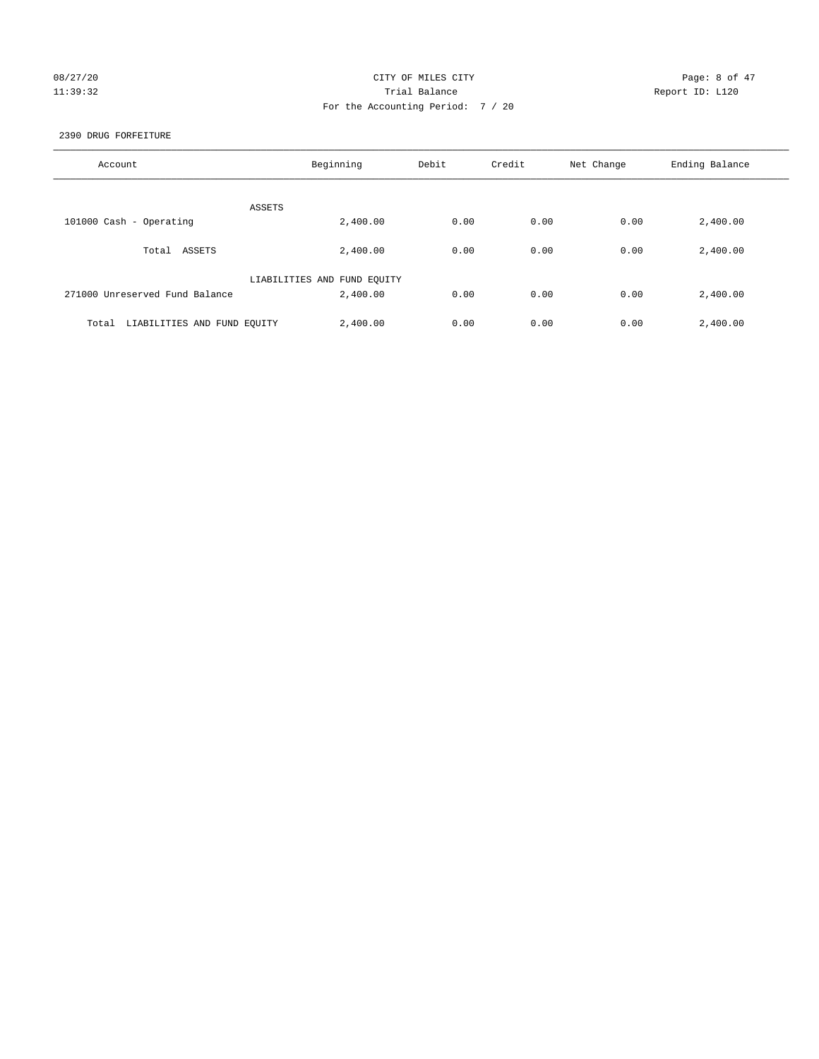# 08/27/20 **CITY OF MILES CITY CONSTRUES CITY Page: 8 of 47** 11:39:32 Trial Balance Report ID: L120 For the Accounting Period: 7 / 20

## 2390 DRUG FORFEITURE

| Account                              | Beginning                   | Debit | Credit | Net Change | Ending Balance |
|--------------------------------------|-----------------------------|-------|--------|------------|----------------|
| ASSETS                               |                             |       |        |            |                |
| 101000 Cash - Operating              | 2,400.00                    | 0.00  | 0.00   | 0.00       | 2,400.00       |
| Total ASSETS                         | 2,400.00                    | 0.00  | 0.00   | 0.00       | 2,400.00       |
|                                      | LIABILITIES AND FUND EQUITY |       |        |            |                |
| 271000 Unreserved Fund Balance       | 2,400.00                    | 0.00  | 0.00   | 0.00       | 2,400.00       |
| LIABILITIES AND FUND EQUITY<br>Total | 2,400.00                    | 0.00  | 0.00   | 0.00       | 2,400.00       |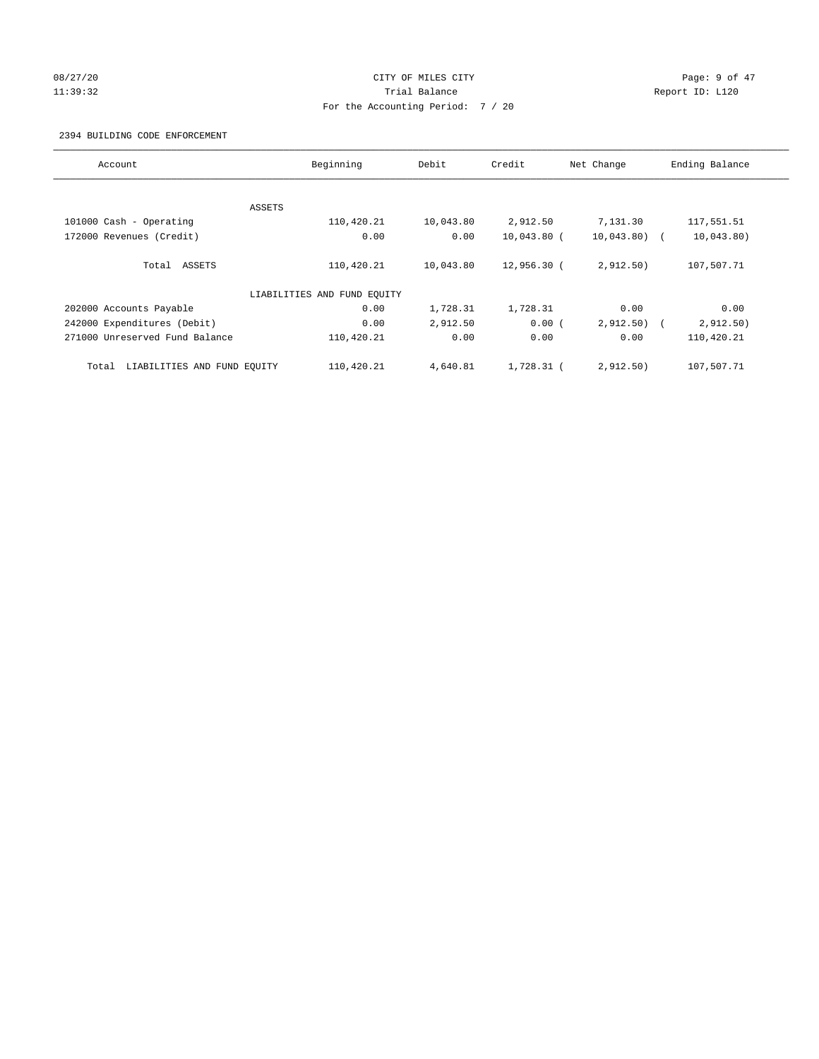# 08/27/20 **Page: 9 of 47** CITY OF MILES CITY CONTROL Page: 9 of 47 11:39:32 Report ID: L120 For the Accounting Period: 7 / 20

## 2394 BUILDING CODE ENFORCEMENT

| Account                              | Beginning                   | Debit     | Credit        | Net Change    | Ending Balance |
|--------------------------------------|-----------------------------|-----------|---------------|---------------|----------------|
|                                      |                             |           |               |               |                |
|                                      | ASSETS                      |           |               |               |                |
| 101000 Cash - Operating              | 110,420.21                  | 10,043.80 | 2,912.50      | 7,131.30      | 117,551.51     |
| 172000 Revenues (Credit)             | 0.00                        | 0.00      | $10,043.80$ ( | $10,043.80$ ( | 10,043.80)     |
| Total ASSETS                         | 110,420.21                  | 10,043.80 | 12,956.30 (   | 2,912.50)     | 107,507.71     |
|                                      | LIABILITIES AND FUND EQUITY |           |               |               |                |
| 202000 Accounts Payable              | 0.00                        | 1,728.31  | 1,728.31      | 0.00          | 0.00           |
| 242000 Expenditures (Debit)          | 0.00                        | 2,912.50  | 0.00(         | 2,912.50)     | 2,912.50)      |
| 271000 Unreserved Fund Balance       | 110,420.21                  | 0.00      | 0.00          | 0.00          | 110,420.21     |
| LIABILITIES AND FUND EQUITY<br>Total | 110,420.21                  | 4,640.81  | 1,728.31 (    | 2,912.50)     | 107,507.71     |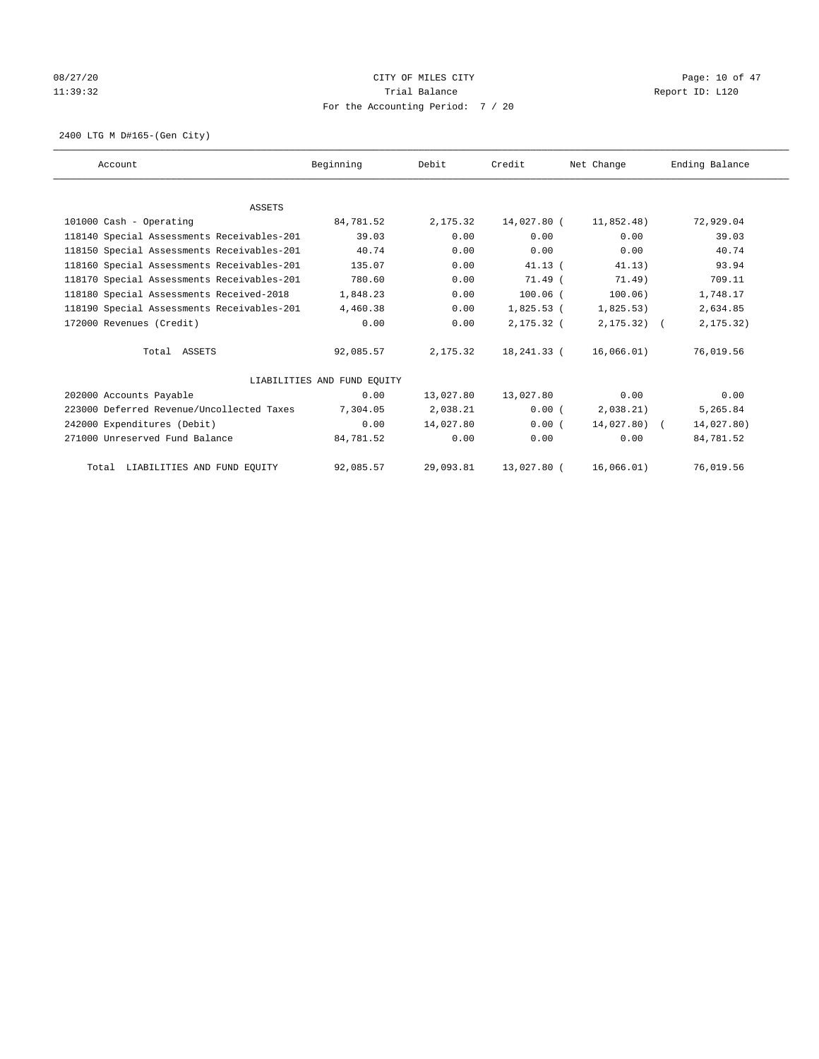# 08/27/20 Page: 10 of 47 11:39:32 Report ID: L120 For the Accounting Period: 7 / 20

2400 LTG M D#165-(Gen City)

| Account                                    | Beginning                   | Debit      | Credit       | Net Change    | Ending Balance |
|--------------------------------------------|-----------------------------|------------|--------------|---------------|----------------|
|                                            |                             |            |              |               |                |
| <b>ASSETS</b>                              |                             |            |              |               |                |
| 101000 Cash - Operating                    | 84,781.52                   | 2,175.32   | 14,027.80 (  | 11,852.48)    | 72,929.04      |
| 118140 Special Assessments Receivables-201 | 39.03                       | 0.00       | 0.00         | 0.00          | 39.03          |
| 118150 Special Assessments Receivables-201 | 40.74                       | 0.00       | 0.00         | 0.00          | 40.74          |
| 118160 Special Assessments Receivables-201 | 135.07                      | 0.00       | $41.13$ (    | 41.13)        | 93.94          |
| 118170 Special Assessments Receivables-201 | 780.60                      | 0.00       | $71.49$ (    | 71.49)        | 709.11         |
| 118180 Special Assessments Received-2018   | 1,848.23                    | 0.00       | $100.06$ (   | 100.06)       | 1,748.17       |
| 118190 Special Assessments Receivables-201 | 4,460.38                    | 0.00       | $1,825.53$ ( | 1,825.53)     | 2,634.85       |
| 172000 Revenues (Credit)                   | 0.00                        | 0.00       | 2,175.32 (   | $2, 175.32$ ( | 2, 175.32)     |
| Total ASSETS                               | 92,085.57                   | 2, 175, 32 | 18,241.33 (  | 16,066.01)    | 76,019.56      |
|                                            | LIABILITIES AND FUND EQUITY |            |              |               |                |
| 202000 Accounts Payable                    | 0.00                        | 13,027.80  | 13,027.80    | 0.00          | 0.00           |
| 223000 Deferred Revenue/Uncollected Taxes  | 7,304.05                    | 2,038.21   | 0.00(        | 2,038.21)     | 5,265.84       |
| 242000 Expenditures (Debit)                | 0.00                        | 14,027.80  | 0.00(        | $14,027.80$ ( | 14,027.80)     |
| 271000 Unreserved Fund Balance             | 84,781.52                   | 0.00       | 0.00         | 0.00          | 84,781.52      |
| Total LIABILITIES AND FUND EQUITY          | 92,085.57                   | 29,093.81  | 13,027.80 (  | 16,066.01)    | 76,019.56      |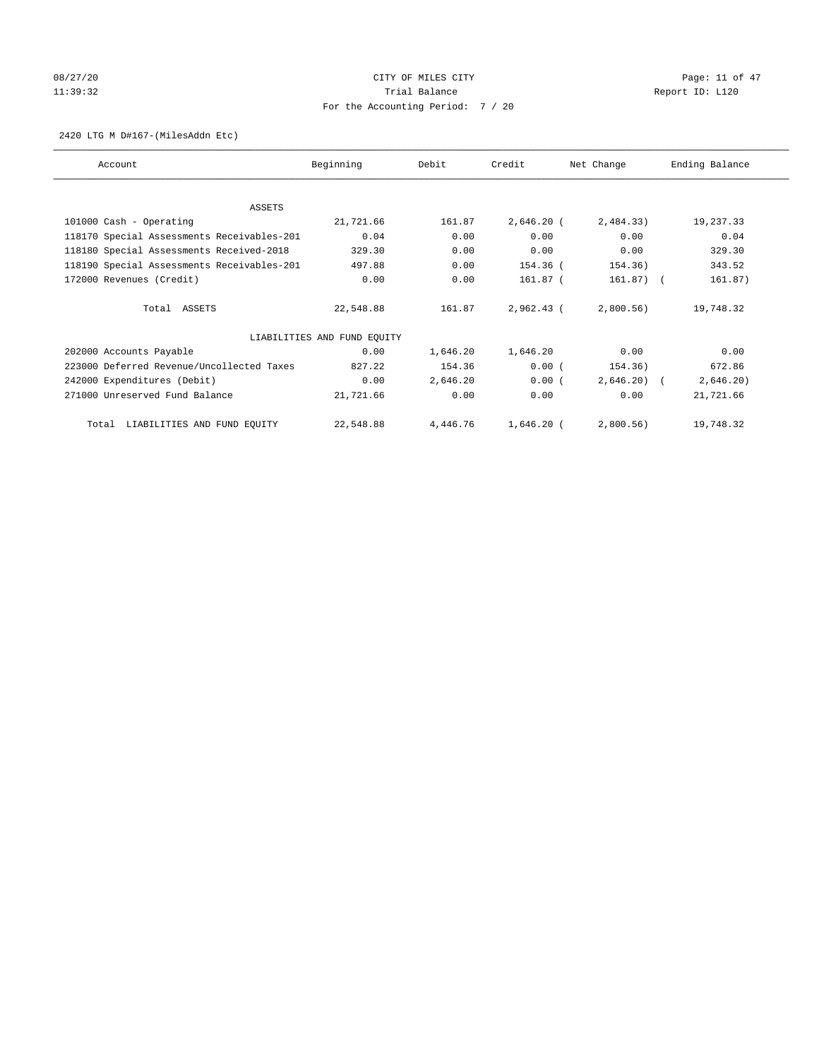# 08/27/20 Page: 11 of 47 11:39:32 Report ID: L120 For the Accounting Period: 7 / 20

## 2420 LTG M D#167-(MilesAddn Etc)

| Account                                    | Beginning                   | Debit    | Credit       | Net Change   | Ending Balance |
|--------------------------------------------|-----------------------------|----------|--------------|--------------|----------------|
|                                            |                             |          |              |              |                |
| <b>ASSETS</b>                              |                             |          |              |              |                |
| 101000 Cash - Operating                    | 21,721.66                   | 161.87   | $2,646.20$ ( | 2,484.33)    | 19,237.33      |
| 118170 Special Assessments Receivables-201 | 0.04                        | 0.00     | 0.00         | 0.00         | 0.04           |
| 118180 Special Assessments Received-2018   | 329.30                      | 0.00     | 0.00         | 0.00         | 329.30         |
| 118190 Special Assessments Receivables-201 | 497.88                      | 0.00     | 154.36 (     | 154.36)      | 343.52         |
| 172000 Revenues (Credit)                   | 0.00                        | 0.00     | 161.87 (     | $161.87$ ) ( | 161.87)        |
| Total ASSETS                               | 22,548.88                   | 161.87   | $2,962.43$ ( | $2,800.56$ ) | 19,748.32      |
|                                            | LIABILITIES AND FUND EQUITY |          |              |              |                |
| 202000 Accounts Payable                    | 0.00                        | 1,646.20 | 1,646.20     | 0.00         | 0.00           |
| 223000 Deferred Revenue/Uncollected Taxes  | 827.22                      | 154.36   | 0.00(        | 154.36)      | 672.86         |
| 242000 Expenditures (Debit)                | 0.00                        | 2,646.20 | 0.00(        | $2,646.20$ ( | 2,646.20)      |
| 271000 Unreserved Fund Balance             | 21,721.66                   | 0.00     | 0.00         | 0.00         | 21,721.66      |
| Total LIABILITIES AND FUND EQUITY          | 22,548.88                   | 4,446.76 | 1,646.20 (   | $2,800.56$ ) | 19,748.32      |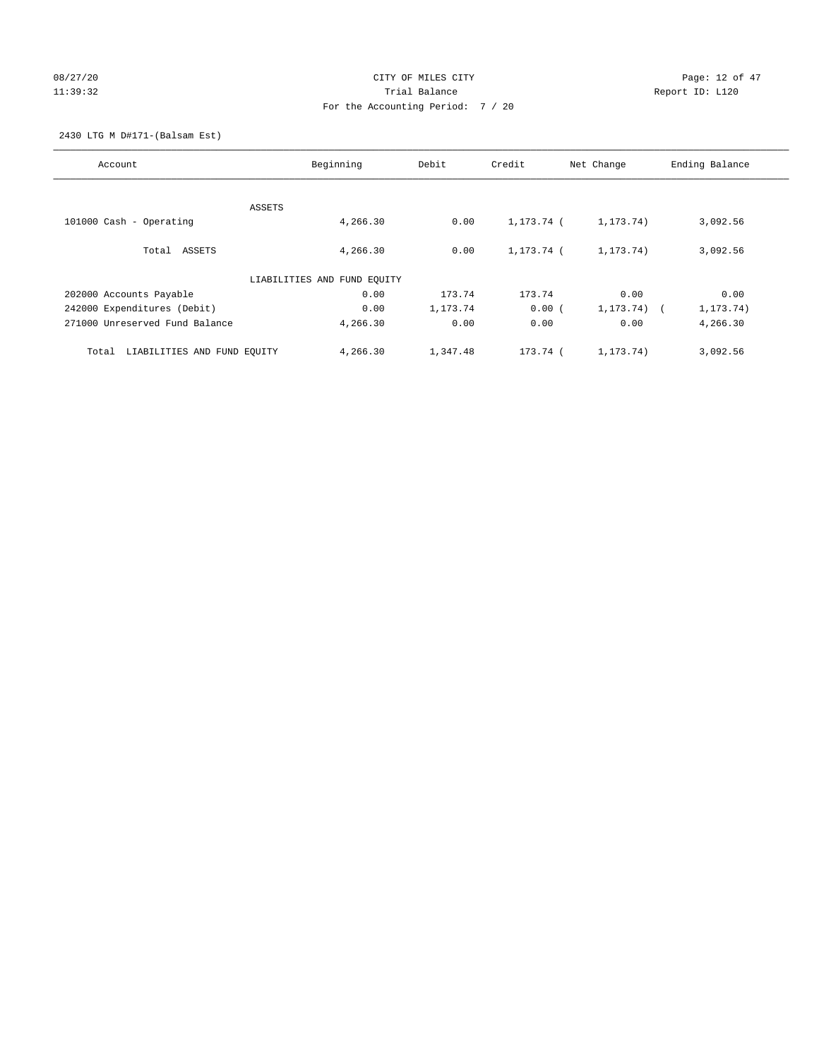# 08/27/20 Page: 12 of 47 11:39:32 Report ID: L120 For the Accounting Period: 7 / 20

2430 LTG M D#171-(Balsam Est)

| Account                              | Beginning                   | Debit    | Credit     | Net Change           | Ending Balance |
|--------------------------------------|-----------------------------|----------|------------|----------------------|----------------|
|                                      |                             |          |            |                      |                |
|                                      | ASSETS                      |          |            |                      |                |
| $101000$ Cash - Operating            | 4,266.30                    | 0.00     | 1,173.74 ( | 1, 173.74)           | 3,092.56       |
| Total ASSETS                         | 4,266.30                    | 0.00     | 1,173.74 ( | 1, 173.74)           | 3,092.56       |
|                                      | LIABILITIES AND FUND EQUITY |          |            |                      |                |
| 202000 Accounts Payable              | 0.00                        | 173.74   | 173.74     | 0.00                 | 0.00           |
| 242000 Expenditures (Debit)          | 0.00                        | 1,173.74 | 0.00(      | 1, 173.74)<br>$\sim$ | 1, 173. 74)    |
| 271000 Unreserved Fund Balance       | 4,266.30                    | 0.00     | 0.00       | 0.00                 | 4,266.30       |
| LIABILITIES AND FUND EQUITY<br>Total | 4,266.30                    | 1,347.48 | 173.74 (   | 1, 173.74)           | 3,092.56       |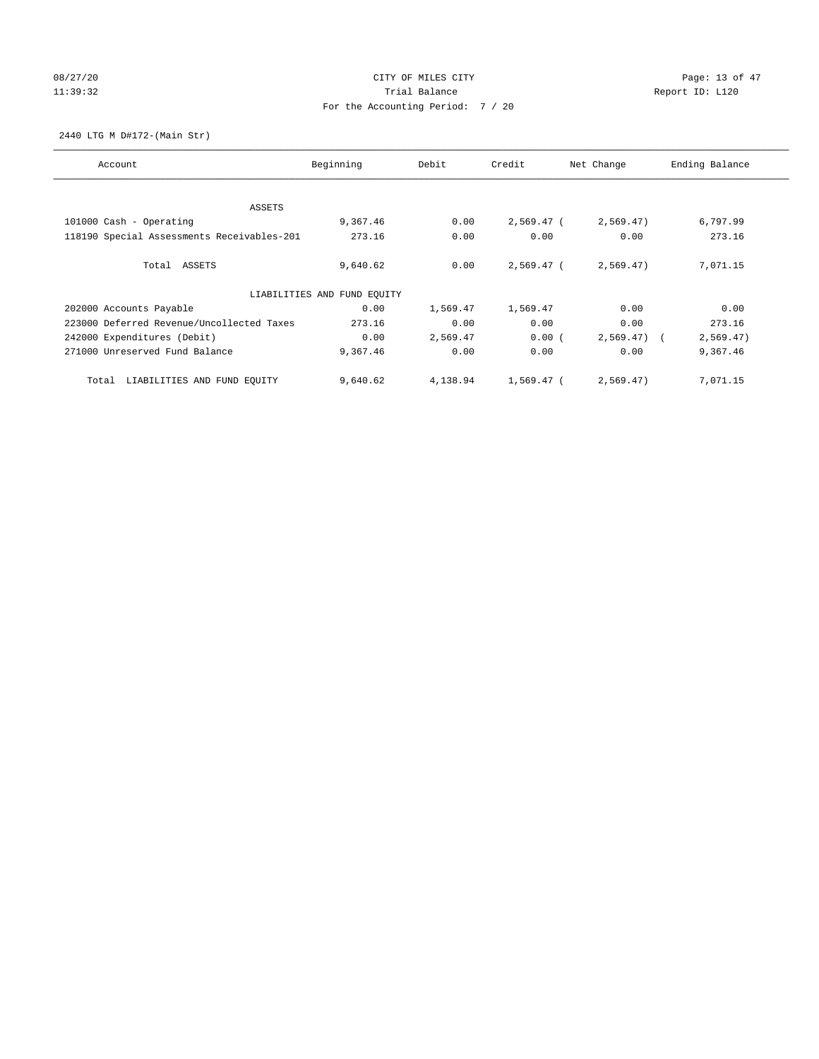# 08/27/20 Page: 13 of 47 11:39:32 Report ID: L120 For the Accounting Period: 7 / 20

2440 LTG M D#172-(Main Str)

| Account                                    | Beginning                   | Debit    | Credit       | Net Change   | Ending Balance |
|--------------------------------------------|-----------------------------|----------|--------------|--------------|----------------|
|                                            |                             |          |              |              |                |
| ASSETS                                     |                             |          |              |              |                |
| 101000 Cash - Operating                    | 9,367.46                    | 0.00     | 2,569.47 (   | 2,569.47)    | 6,797.99       |
| 118190 Special Assessments Receivables-201 | 273.16                      | 0.00     | 0.00         | 0.00         | 273.16         |
| Total ASSETS                               | 9,640.62                    | 0.00     | $2.569.47$ ( | 2,569.47)    | 7,071.15       |
|                                            | LIABILITIES AND FUND EQUITY |          |              |              |                |
| 202000 Accounts Payable                    | 0.00                        | 1,569.47 | 1,569.47     | 0.00         | 0.00           |
| 223000 Deferred Revenue/Uncollected Taxes  | 273.16                      | 0.00     | 0.00         | 0.00         | 273.16         |
| 242000 Expenditures (Debit)                | 0.00                        | 2,569.47 | 0.00(        | $2,569.47$ ( | 2,569.47)      |
| 271000 Unreserved Fund Balance             | 9,367.46                    | 0.00     | 0.00         | 0.00         | 9,367.46       |
| LIABILITIES AND FUND EQUITY<br>Total       | 9,640.62                    | 4,138.94 | 1,569.47 (   | 2,569.47)    | 7,071.15       |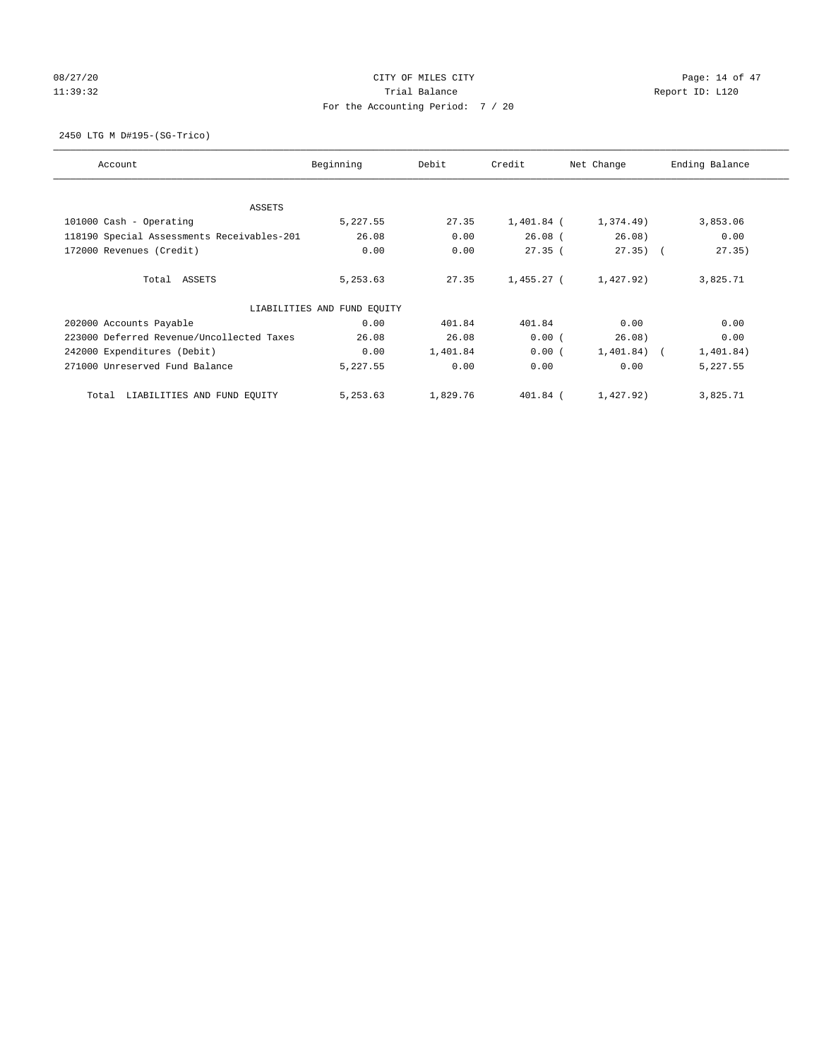# 08/27/20 Page: 14 of 47 11:39:32 Report ID: L120 For the Accounting Period: 7 / 20

2450 LTG M D#195-(SG-Trico)

| Account                                    | Beginning                   | Debit    | Credit     | Net Change     | Ending Balance |
|--------------------------------------------|-----------------------------|----------|------------|----------------|----------------|
| <b>ASSETS</b>                              |                             |          |            |                |                |
| 101000 Cash - Operating                    | 5,227.55                    | 27.35    | 1,401.84 ( | 1,374.49)      | 3,853.06       |
| 118190 Special Assessments Receivables-201 | 26.08                       | 0.00     | $26.08$ (  | 26.08)         | 0.00           |
| 172000 Revenues (Credit)                   | 0.00                        | 0.00     | 27.35(     | $27.35)$ (     | 27.35)         |
| Total ASSETS                               | 5,253.63                    | 27.35    | 1,455.27 ( | 1,427.92)      | 3,825.71       |
|                                            | LIABILITIES AND FUND EQUITY |          |            |                |                |
| 202000 Accounts Payable                    | 0.00                        | 401.84   | 401.84     | 0.00           | 0.00           |
| 223000 Deferred Revenue/Uncollected Taxes  | 26.08                       | 26.08    | 0.00(      | 26.08)         | 0.00           |
| 242000 Expenditures (Debit)                | 0.00                        | 1,401.84 | 0.00(      | $1,401.84$ ) ( | 1,401.84)      |
| 271000 Unreserved Fund Balance             | 5,227.55                    | 0.00     | 0.00       | 0.00           | 5,227.55       |
| LIABILITIES AND FUND EQUITY<br>Total       | 5,253.63                    | 1,829.76 | 401.84 (   | 1,427.92)      | 3,825.71       |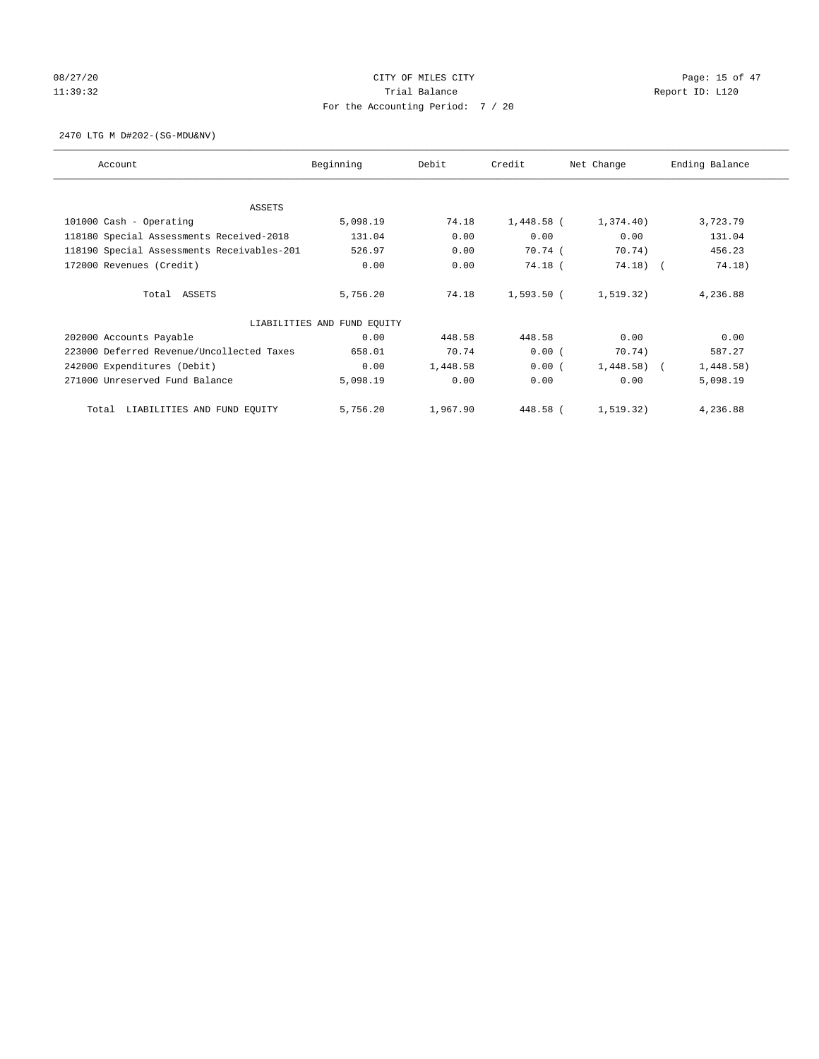# 08/27/20 Page: 15 of 47 11:39:32 Report ID: L120 For the Accounting Period: 7 / 20

## 2470 LTG M D#202-(SG-MDU&NV)

| Account                                    | Beginning                   | Debit    | Credit       | Net Change | Ending Balance |
|--------------------------------------------|-----------------------------|----------|--------------|------------|----------------|
|                                            |                             |          |              |            |                |
| <b>ASSETS</b><br>101000 Cash - Operating   | 5,098.19                    | 74.18    | $1,448.58$ ( | 1,374.40)  | 3,723.79       |
|                                            | 131.04                      | 0.00     | 0.00         | 0.00       | 131.04         |
| 118180 Special Assessments Received-2018   |                             |          |              |            |                |
| 118190 Special Assessments Receivables-201 | 526.97                      | 0.00     | 70.74 (      | 70.74)     | 456.23         |
| 172000 Revenues (Credit)                   | 0.00                        | 0.00     | 74.18 (      | 74.18)     | 74.18)         |
|                                            |                             |          |              |            |                |
| Total ASSETS                               | 5,756.20                    | 74.18    | 1,593.50 (   | 1, 519.32) | 4,236.88       |
|                                            | LIABILITIES AND FUND EQUITY |          |              |            |                |
| 202000 Accounts Payable                    | 0.00                        | 448.58   | 448.58       | 0.00       | 0.00           |
| 223000 Deferred Revenue/Uncollected Taxes  | 658.01                      | 70.74    | 0.00(        | 70.74)     | 587.27         |
| 242000 Expenditures (Debit)                | 0.00                        | 1,448.58 | 0.00(        | 1,448.58)  | 1,448.58)      |
| 271000 Unreserved Fund Balance             | 5,098.19                    | 0.00     | 0.00         | 0.00       | 5,098.19       |
| LIABILITIES AND FUND EQUITY<br>Total       | 5,756.20                    | 1,967.90 | 448.58 (     | 1, 519.32) | 4,236.88       |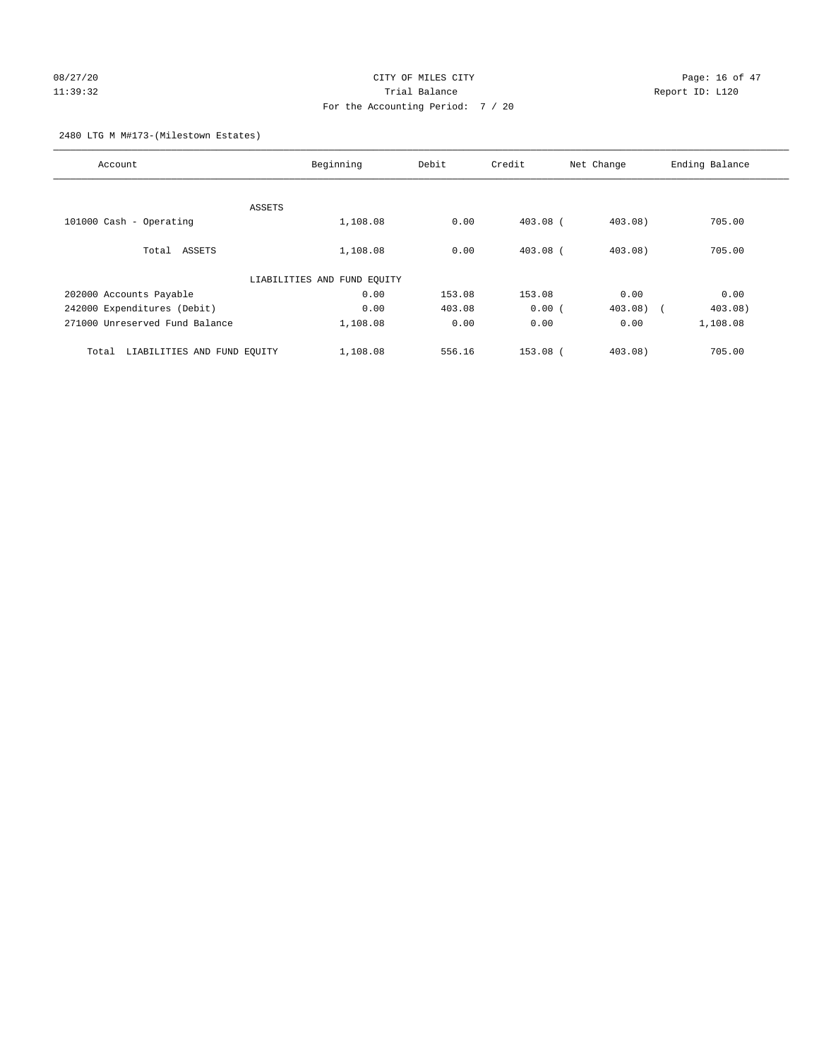# 08/27/20 Page: 16 of 47 11:39:32 Trial Balance Report ID: L120 For the Accounting Period: 7 / 20

## 2480 LTG M M#173-(Milestown Estates)

| Account                              | Beginning                   | Debit  |            | Net Change        | Ending Balance |
|--------------------------------------|-----------------------------|--------|------------|-------------------|----------------|
|                                      |                             |        |            |                   |                |
|                                      | ASSETS                      |        |            |                   |                |
| 101000 Cash - Operating              | 1,108.08                    | 0.00   | $403.08$ ( | 403.08)           | 705.00         |
| Total ASSETS                         | 1,108.08                    | 0.00   | $403.08$ ( | $403.08$ )        | 705.00         |
|                                      | LIABILITIES AND FUND EQUITY |        |            |                   |                |
| 202000 Accounts Payable              | 0.00                        | 153.08 | 153.08     | 0.00              | 0.00           |
| 242000 Expenditures (Debit)          | 0.00                        | 403.08 | 0.00(      | 403.08)<br>$\sim$ | 403.08)        |
| 271000 Unreserved Fund Balance       | 1,108.08                    | 0.00   | 0.00       | 0.00              | 1,108.08       |
| LIABILITIES AND FUND EQUITY<br>Total | 1,108.08                    | 556.16 | $153.08$ ( | $403.08$ )        | 705.00         |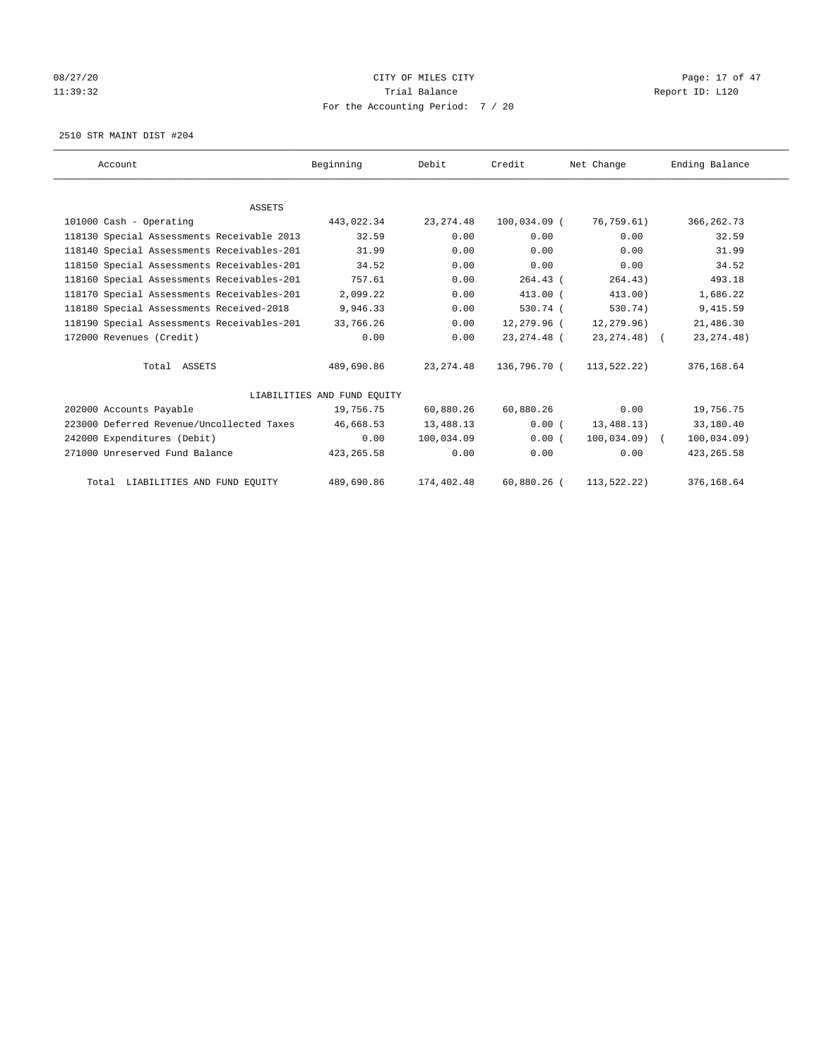# 08/27/20 Page: 17 of 47 11:39:32 Report ID: L120 For the Accounting Period: 7 / 20

2510 STR MAINT DIST #204

| Account                                    | Beginning                   | Debit      | Credit        | Net Change     | Ending Balance |
|--------------------------------------------|-----------------------------|------------|---------------|----------------|----------------|
|                                            |                             |            |               |                |                |
| <b>ASSETS</b>                              |                             |            |               |                |                |
| 101000 Cash - Operating                    | 443,022.34                  | 23, 274.48 | 100,034.09 (  | 76,759.61)     | 366, 262.73    |
| 118130 Special Assessments Receivable 2013 | 32.59                       | 0.00       | 0.00          | 0.00           | 32.59          |
| 118140 Special Assessments Receivables-201 | 31.99                       | 0.00       | 0.00          | 0.00           | 31.99          |
| 118150 Special Assessments Receivables-201 | 34.52                       | 0.00       | 0.00          | 0.00           | 34.52          |
| 118160 Special Assessments Receivables-201 | 757.61                      | 0.00       | $264.43$ (    | 264.43)        | 493.18         |
| 118170 Special Assessments Receivables-201 | 2,099.22                    | 0.00       | $413.00$ (    | 413.00)        | 1,686.22       |
| 118180 Special Assessments Received-2018   | 9,946.33                    | 0.00       | 530.74 (      | 530.74)        | 9,415.59       |
| 118190 Special Assessments Receivables-201 | 33,766.26                   | 0.00       | 12,279.96 (   | 12,279.96)     | 21,486.30      |
| 172000 Revenues (Credit)                   | 0.00                        | 0.00       | 23, 274. 48 ( | 23, 274. 48) ( | 23, 274. 48)   |
| Total ASSETS                               | 489,690.86                  | 23, 274.48 | 136,796.70 (  | 113,522.22)    | 376,168.64     |
|                                            | LIABILITIES AND FUND EQUITY |            |               |                |                |
| 202000 Accounts Payable                    | 19,756.75                   | 60,880.26  | 60,880.26     | 0.00           | 19,756.75      |
| 223000 Deferred Revenue/Uncollected Taxes  | 46,668.53                   | 13,488.13  | 0.00(         | 13,488.13)     | 33,180.40      |
| 242000 Expenditures (Debit)                | 0.00                        | 100,034.09 | 0.00(         | $100,034.09$ ( | 100,034.09)    |
| 271000 Unreserved Fund Balance             | 423, 265.58                 | 0.00       | 0.00          | 0.00           | 423, 265.58    |
| Total LIABILITIES AND FUND EQUITY          | 489,690.86                  | 174,402.48 | $60,880.26$ ( | 113,522.22)    | 376,168.64     |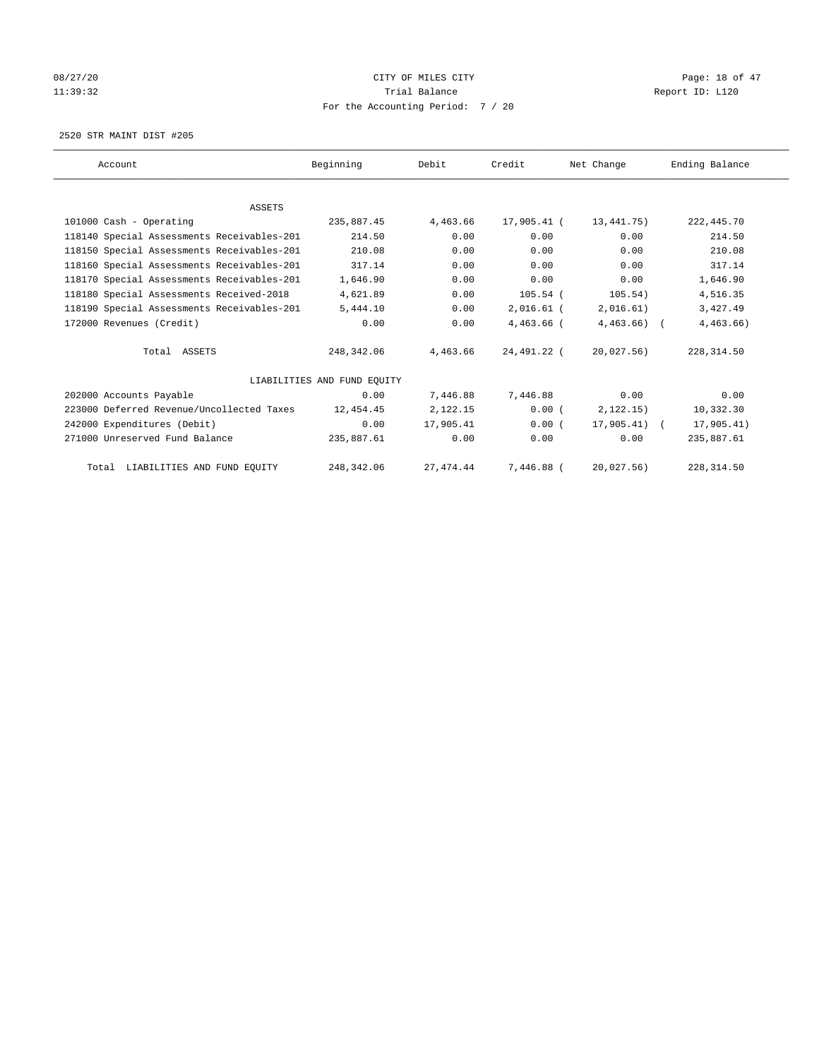# 08/27/20 Page: 18 of 47 11:39:32 Report ID: L120 For the Accounting Period: 7 / 20

2520 STR MAINT DIST #205

| Account                                    | Beginning                   | Debit      | Credit       | Net Change    | Ending Balance |
|--------------------------------------------|-----------------------------|------------|--------------|---------------|----------------|
|                                            |                             |            |              |               |                |
| <b>ASSETS</b>                              |                             |            |              |               |                |
| 101000 Cash - Operating                    | 235,887.45                  | 4,463.66   | 17,905.41 (  | 13,441.75)    | 222, 445.70    |
| 118140 Special Assessments Receivables-201 | 214.50                      | 0.00       | 0.00         | 0.00          | 214.50         |
| 118150 Special Assessments Receivables-201 | 210.08                      | 0.00       | 0.00         | 0.00          | 210.08         |
| 118160 Special Assessments Receivables-201 | 317.14                      | 0.00       | 0.00         | 0.00          | 317.14         |
| 118170 Special Assessments Receivables-201 | 1,646.90                    | 0.00       | 0.00         | 0.00          | 1,646.90       |
| 118180 Special Assessments Received-2018   | 4,621.89                    | 0.00       | $105.54$ (   | 105.54)       | 4,516.35       |
| 118190 Special Assessments Receivables-201 | 5,444.10                    | 0.00       | $2,016.61$ ( | 2,016.61)     | 3,427.49       |
| 172000 Revenues (Credit)                   | 0.00                        | 0.00       | 4,463.66 (   | $4,463.66$ (  | $4,463.66$ )   |
| Total ASSETS                               | 248, 342, 06                | 4,463.66   | 24,491.22 (  | 20,027.56)    | 228, 314.50    |
|                                            | LIABILITIES AND FUND EQUITY |            |              |               |                |
| 202000 Accounts Payable                    | 0.00                        | 7,446.88   | 7.446.88     | 0.00          | 0.00           |
| 223000 Deferred Revenue/Uncollected Taxes  | 12,454.45                   | 2,122.15   | 0.00(        | 2, 122.15)    | 10,332.30      |
| 242000 Expenditures (Debit)                | 0.00                        | 17,905.41  | 0.00(        | $17,905.41$ ( | 17,905.41)     |
| 271000 Unreserved Fund Balance             | 235,887.61                  | 0.00       | 0.00         | 0.00          | 235,887.61     |
| Total LIABILITIES AND FUND EQUITY          | 248,342.06                  | 27, 474.44 | 7,446.88 (   | 20,027.56     | 228, 314.50    |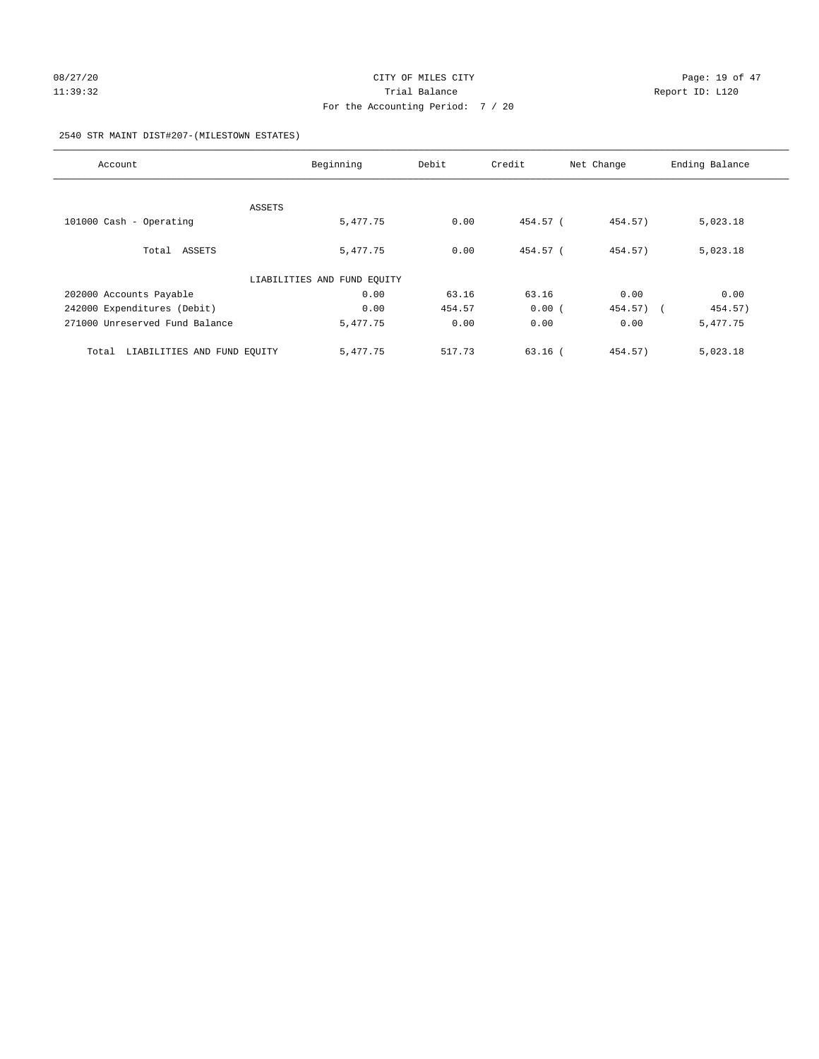# 08/27/20 Page: 19 of 47 11:39:32 Report ID: L120 For the Accounting Period: 7 / 20

## 2540 STR MAINT DIST#207-(MILESTOWN ESTATES)

| Account                              | Beginning                   | Debit  | Credit    | Net Change   | Ending Balance |
|--------------------------------------|-----------------------------|--------|-----------|--------------|----------------|
|                                      |                             |        |           |              |                |
| ASSETS                               |                             |        |           |              |                |
| 101000 Cash - Operating              | 5,477.75                    | 0.00   | 454.57 (  | 454.57)      | 5,023.18       |
|                                      |                             |        |           |              |                |
| Total ASSETS                         | 5,477.75                    | 0.00   | 454.57 (  | 454.57)      | 5,023.18       |
|                                      |                             |        |           |              |                |
|                                      | LIABILITIES AND FUND EQUITY |        |           |              |                |
| 202000 Accounts Payable              | 0.00                        | 63.16  | 63.16     | 0.00         | 0.00           |
| 242000 Expenditures (Debit)          | 0.00                        | 454.57 | 0.00(     | $454.57$ ) ( | 454.57)        |
| 271000 Unreserved Fund Balance       | 5,477.75                    | 0.00   | 0.00      | 0.00         | 5,477.75       |
|                                      |                             |        |           |              |                |
| LIABILITIES AND FUND EQUITY<br>Total | 5,477.75                    | 517.73 | $63.16$ ( | 454.57)      | 5,023.18       |
|                                      |                             |        |           |              |                |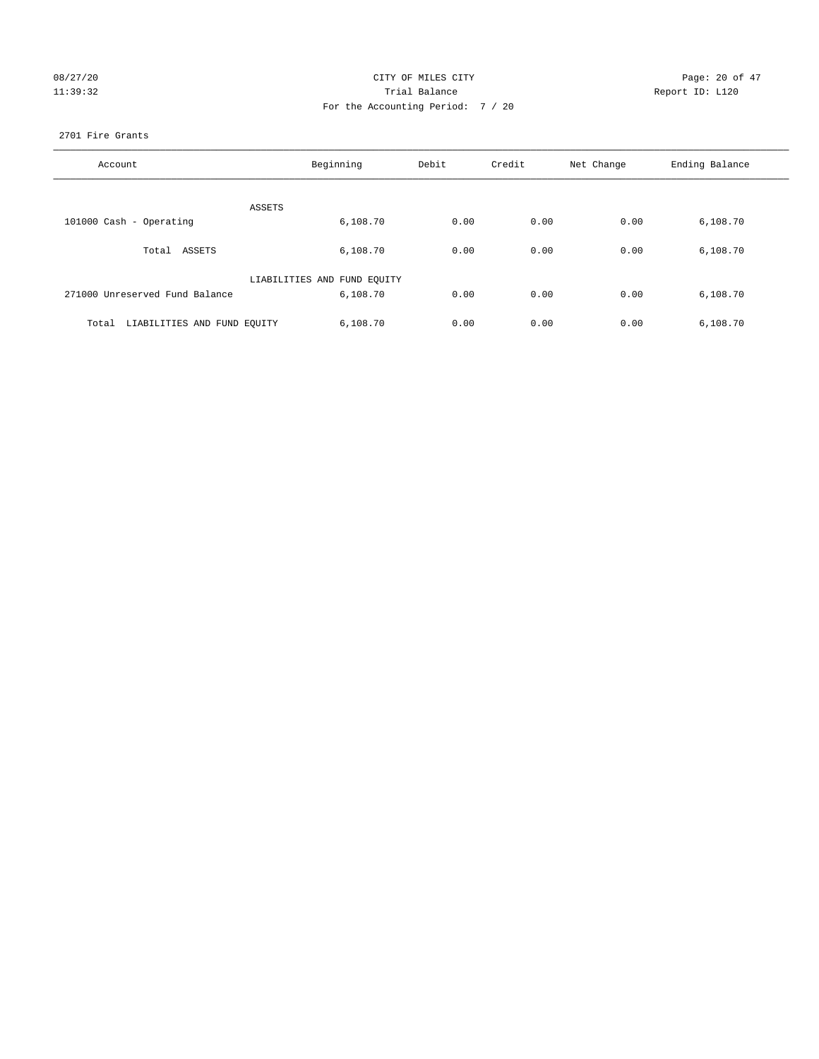| 08/27/20 |  |  |          |
|----------|--|--|----------|
|          |  |  | 11:39:32 |

# CITY OF MILES CITY GALLES CITY Rage: 20 of 47 Page: 20 of 47 11:39:32 Report ID: L120 For the Accounting Period: 7 / 20

## 2701 Fire Grants

| Account                              | Beginning                   | Debit | Credit | Net Change | Ending Balance |
|--------------------------------------|-----------------------------|-------|--------|------------|----------------|
| ASSETS                               |                             |       |        |            |                |
| 101000 Cash - Operating              | 6,108.70                    | 0.00  | 0.00   | 0.00       | 6,108.70       |
| Total ASSETS                         | 6,108.70                    | 0.00  | 0.00   | 0.00       | 6,108.70       |
|                                      | LIABILITIES AND FUND EQUITY |       |        |            |                |
| 271000 Unreserved Fund Balance       | 6,108.70                    | 0.00  | 0.00   | 0.00       | 6,108.70       |
| LIABILITIES AND FUND EQUITY<br>Total | 6,108.70                    | 0.00  | 0.00   | 0.00       | 6,108.70       |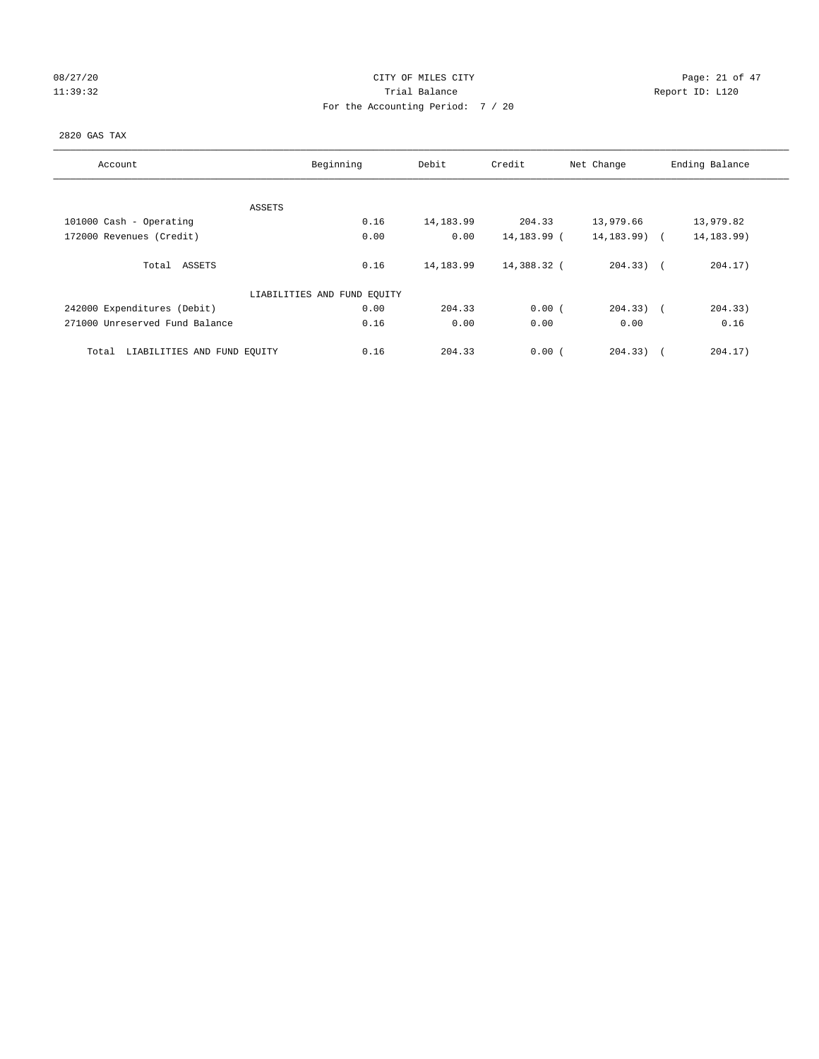# 08/27/20 Page: 21 of 47 11:39:32 Report ID: L120 For the Accounting Period: 7 / 20

## 2820 GAS TAX

| Account                              | Beginning                   |            | Credit<br>Debit |                | Ending Balance |  |
|--------------------------------------|-----------------------------|------------|-----------------|----------------|----------------|--|
| ASSETS                               |                             |            |                 |                |                |  |
| 101000 Cash - Operating              | 0.16                        | 14, 183.99 | 204.33          | 13,979.66      | 13,979.82      |  |
| 172000 Revenues (Credit)             | 0.00                        | 0.00       | 14,183.99 (     | 14,183.99) (   | 14, 183. 99)   |  |
| ASSETS<br>Total                      | 0.16                        | 14, 183.99 | 14,388.32 (     | $204.33)$ (    | 204.17)        |  |
|                                      | LIABILITIES AND FUND EQUITY |            |                 |                |                |  |
| 242000 Expenditures (Debit)          | 0.00                        | 204.33     | 0.00(           | $204.33$ ) $($ | 204.33)        |  |
| 271000 Unreserved Fund Balance       | 0.16                        | 0.00       | 0.00            | 0.00           | 0.16           |  |
| LIABILITIES AND FUND EQUITY<br>Total | 0.16                        | 204.33     | 0.00(           | 204.33)        | 204.17)        |  |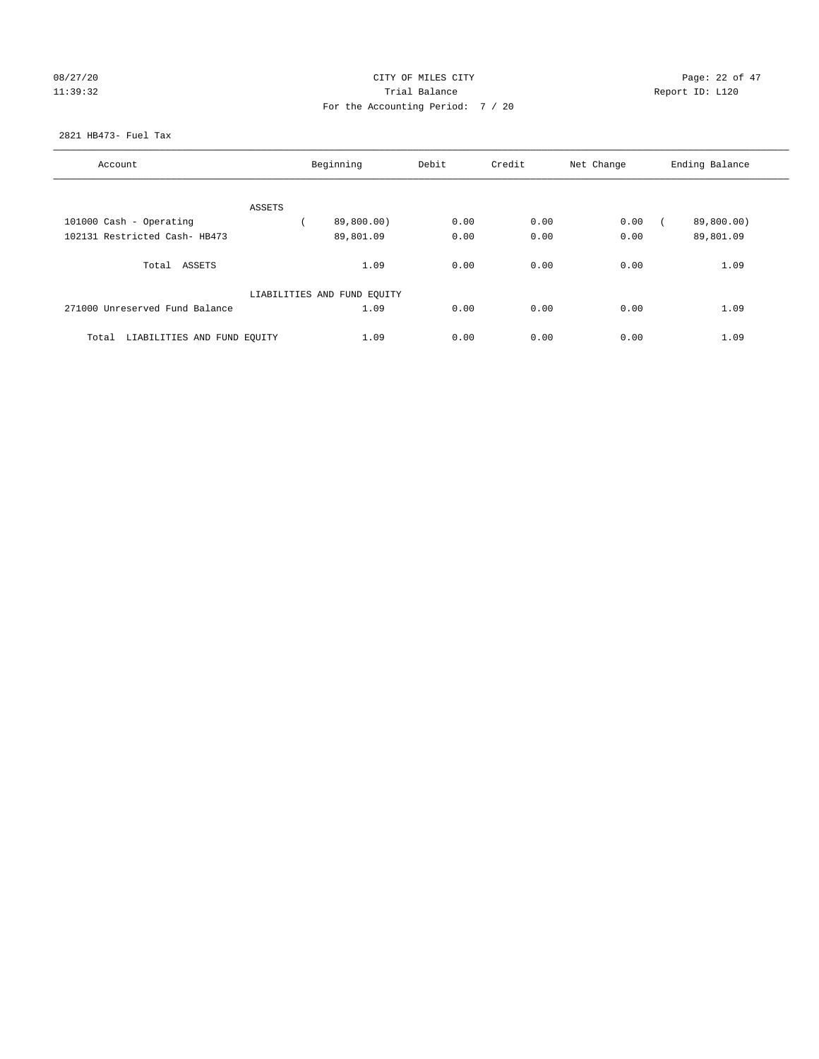# 08/27/20 Page: 22 of 47 11:39:32 Report ID: L120 For the Accounting Period: 7 / 20

## 2821 HB473- Fuel Tax

| Account                              | Beginning                   |            | Debit | Credit<br>Net Change |      | Ending Balance |
|--------------------------------------|-----------------------------|------------|-------|----------------------|------|----------------|
|                                      |                             |            |       |                      |      |                |
|                                      | ASSETS                      |            |       |                      |      |                |
| 101000 Cash - Operating              |                             | 89,800.00) | 0.00  | 0.00                 | 0.00 | 89,800.00)     |
| 102131 Restricted Cash- HB473        |                             | 89,801.09  | 0.00  | 0.00                 | 0.00 | 89,801.09      |
| Total<br>ASSETS                      |                             | 1.09       | 0.00  | 0.00                 | 0.00 | 1.09           |
|                                      | LIABILITIES AND FUND EQUITY |            |       |                      |      |                |
| 271000 Unreserved Fund Balance       |                             | 1.09       | 0.00  | 0.00                 | 0.00 | 1.09           |
| LIABILITIES AND FUND EQUITY<br>Total |                             | 1.09       | 0.00  | 0.00                 | 0.00 | 1.09           |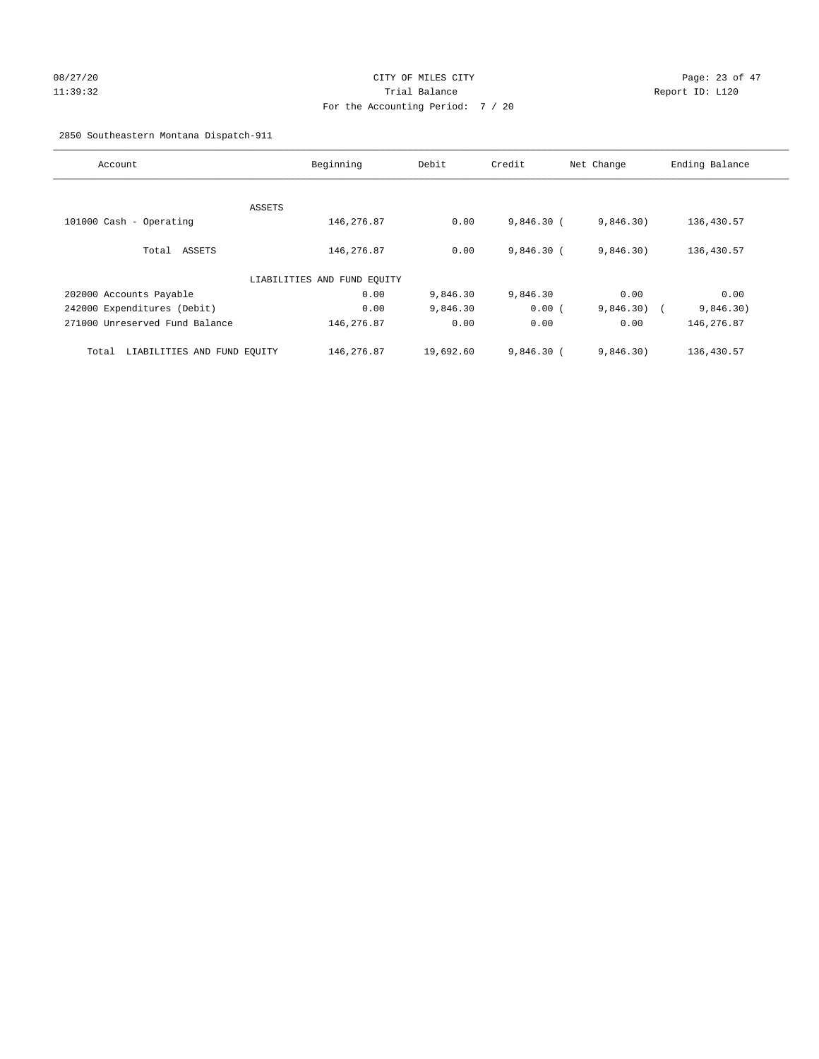# 08/27/20 Page: 23 of 47 11:39:32 Trial Balance Report ID: L120 For the Accounting Period: 7 / 20

2850 Southeastern Montana Dispatch-911

| Account                              | Beginning                   | Debit     | Credit       | Net Change              | Ending Balance |
|--------------------------------------|-----------------------------|-----------|--------------|-------------------------|----------------|
| ASSETS                               |                             |           |              |                         |                |
| 101000 Cash - Operating              | 146,276.87                  | 0.00      | $9,846.30$ ( | 9,846.30)               | 136,430.57     |
| Total ASSETS                         | 146,276.87                  | 0.00      | $9,846.30$ ( | 9,846.30)               | 136,430.57     |
|                                      | LIABILITIES AND FUND EQUITY |           |              |                         |                |
| 202000 Accounts Payable              | 0.00                        | 9,846.30  | 9,846.30     | 0.00                    | 0.00           |
| 242000 Expenditures (Debit)          | 0.00                        | 9,846.30  | 0.00(        | 9,846.30)<br>$\sqrt{2}$ | 9,846.30)      |
| 271000 Unreserved Fund Balance       | 146,276.87                  | 0.00      | 0.00         | 0.00                    | 146,276.87     |
| LIABILITIES AND FUND EQUITY<br>Total | 146,276.87                  | 19,692.60 | $9,846.30$ ( | 9,846.30)               | 136,430.57     |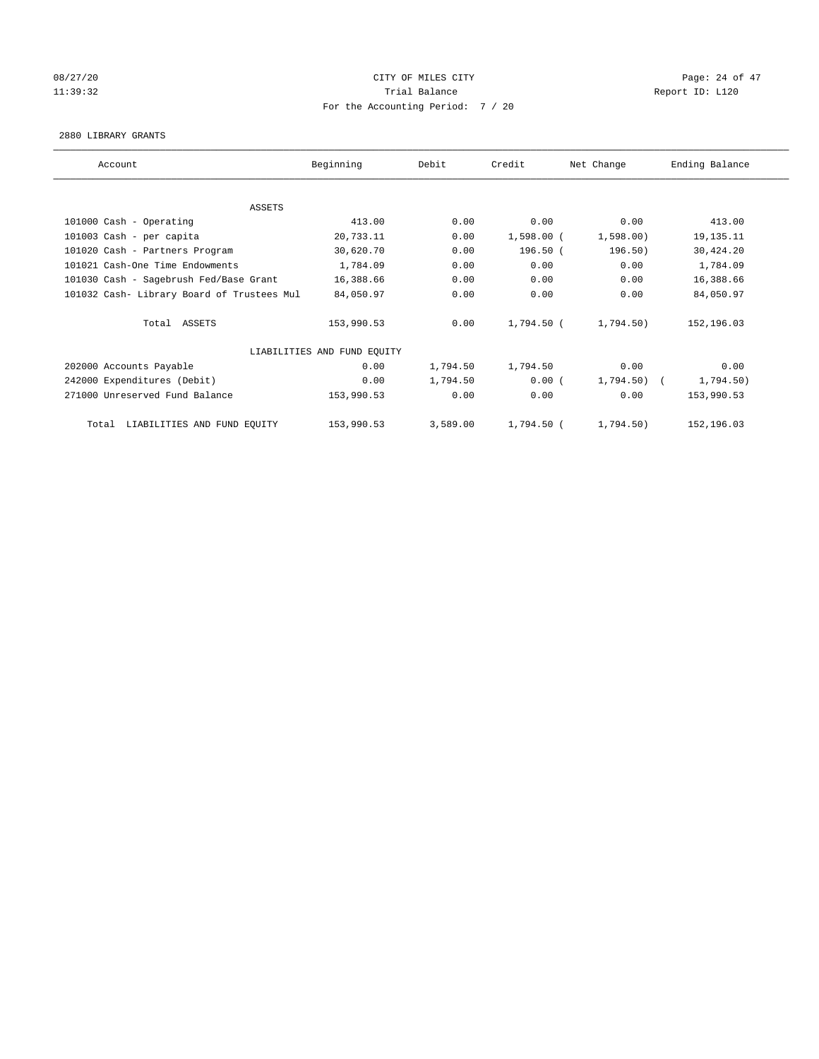# 08/27/20 Page: 24 of 47 11:39:32 Report ID: L120 For the Accounting Period: 7 / 20

#### 2880 LIBRARY GRANTS

| Account                                    | Beginning                   | Debit    | Credit       | Net Change   | Ending Balance |
|--------------------------------------------|-----------------------------|----------|--------------|--------------|----------------|
|                                            |                             |          |              |              |                |
| ASSETS                                     |                             |          |              |              |                |
| 101000 Cash - Operating                    | 413.00                      | 0.00     | 0.00         | 0.00         | 413.00         |
| 101003 Cash - per capita                   | 20,733.11                   | 0.00     | $1,598.00$ ( | 1,598.00     | 19, 135. 11    |
| 101020 Cash - Partners Program             | 30,620.70                   | 0.00     | $196.50$ (   | 196.50)      | 30,424.20      |
| 101021 Cash-One Time Endowments            | 1,784.09                    | 0.00     | 0.00         | 0.00         | 1,784.09       |
| 101030 Cash - Sagebrush Fed/Base Grant     | 16,388.66                   | 0.00     | 0.00         | 0.00         | 16,388.66      |
| 101032 Cash- Library Board of Trustees Mul | 84,050.97                   | 0.00     | 0.00         | 0.00         | 84,050.97      |
| Total ASSETS                               | 153,990.53                  | 0.00     | 1,794.50 (   | 1,794.50)    | 152,196.03     |
|                                            | LIABILITIES AND FUND EQUITY |          |              |              |                |
| 202000 Accounts Payable                    | 0.00                        | 1,794.50 | 1,794.50     | 0.00         | 0.00           |
| 242000 Expenditures (Debit)                | 0.00                        | 1,794.50 | 0.00(        | $1,794.50$ ( | 1,794.50)      |
| 271000 Unreserved Fund Balance             | 153,990.53                  | 0.00     | 0.00         | 0.00         | 153,990.53     |
| LIABILITIES AND FUND EQUITY<br>Total       | 153,990.53                  | 3,589.00 | 1,794.50 (   | 1,794.50)    | 152,196.03     |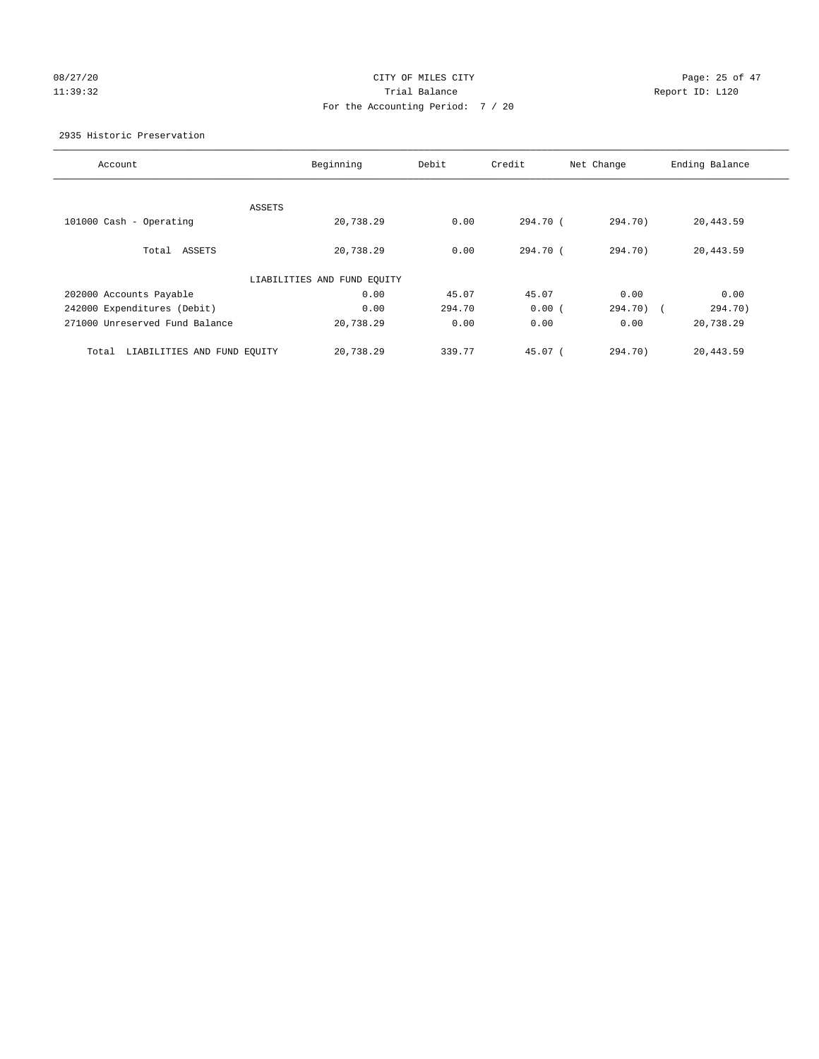# 08/27/20 Page: 25 of 47 11:39:32 Trial Balance Report ID: L120 For the Accounting Period: 7 / 20

2935 Historic Preservation

| Account                              | Beginning                   | Debit  | Credit   | Net Change | Ending Balance |
|--------------------------------------|-----------------------------|--------|----------|------------|----------------|
|                                      |                             |        |          |            |                |
|                                      | ASSETS                      |        |          |            |                |
| $101000$ Cash - Operating            | 20,738.29                   | 0.00   | 294.70 ( | 294.70)    | 20,443.59      |
| Total ASSETS                         | 20,738.29                   | 0.00   | 294.70 ( | 294.70)    | 20,443.59      |
|                                      | LIABILITIES AND FUND EQUITY |        |          |            |                |
| 202000 Accounts Payable              | 0.00                        | 45.07  | 45.07    | 0.00       | 0.00           |
| 242000 Expenditures (Debit)          | 0.00                        | 294.70 | 0.00(    | 294.70) (  | 294.70)        |
| 271000 Unreserved Fund Balance       | 20,738.29                   | 0.00   | 0.00     | 0.00       | 20,738.29      |
| LIABILITIES AND FUND EQUITY<br>Total | 20,738.29                   | 339.77 | 45.07 (  | 294.70)    | 20,443.59      |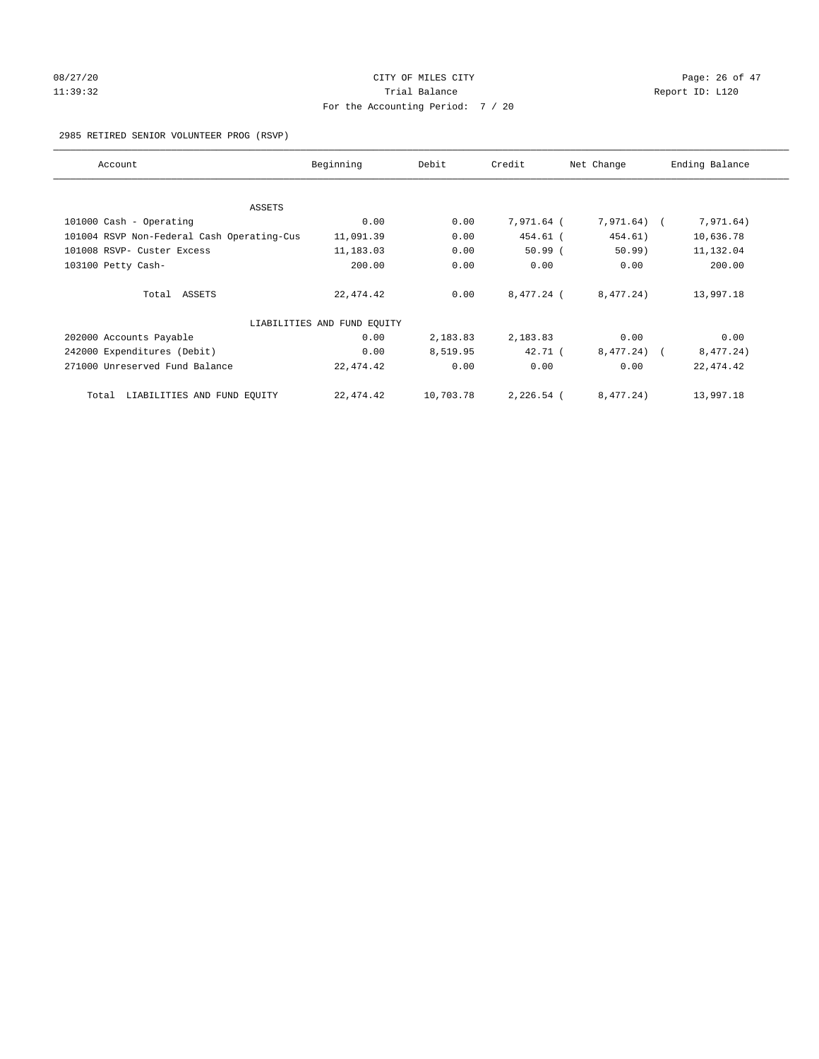# 08/27/20 Page: 26 of 47 11:39:32 Report ID: L120 For the Accounting Period: 7 / 20

2985 RETIRED SENIOR VOLUNTEER PROG (RSVP)

| Account                                    | Beginning                   | Debit     | Credit     | Net Change   | Ending Balance |
|--------------------------------------------|-----------------------------|-----------|------------|--------------|----------------|
| ASSETS                                     |                             |           |            |              |                |
| 101000 Cash - Operating                    | 0.00                        | 0.00      | 7,971.64 ( | 7,971.64) (  | 7,971.64)      |
| 101004 RSVP Non-Federal Cash Operating-Cus | 11,091.39                   | 0.00      | 454.61 (   | 454.61)      | 10,636.78      |
| 101008 RSVP- Custer Excess                 | 11,183.03                   | 0.00      | $50.99$ (  | 50.99)       | 11,132.04      |
| 103100 Petty Cash-                         | 200.00                      | 0.00      | 0.00       | 0.00         | 200.00         |
| Total ASSETS                               | 22,474.42                   | 0.00      | 8,477.24 ( | 8,477.24)    | 13,997.18      |
|                                            | LIABILITIES AND FUND EQUITY |           |            |              |                |
| 202000 Accounts Payable                    | 0.00                        | 2,183.83  | 2,183.83   | 0.00         | 0.00           |
| 242000 Expenditures (Debit)                | 0.00                        | 8,519.95  | 42.71 (    | $8,477.24$ ( | 8,477.24)      |
| 271000 Unreserved Fund Balance             | 22,474.42                   | 0.00      | 0.00       | 0.00         | 22, 474.42     |
| LIABILITIES AND FUND EQUITY<br>Total       | 22,474.42                   | 10,703.78 | 2,226.54 ( | 8,477.24)    | 13,997.18      |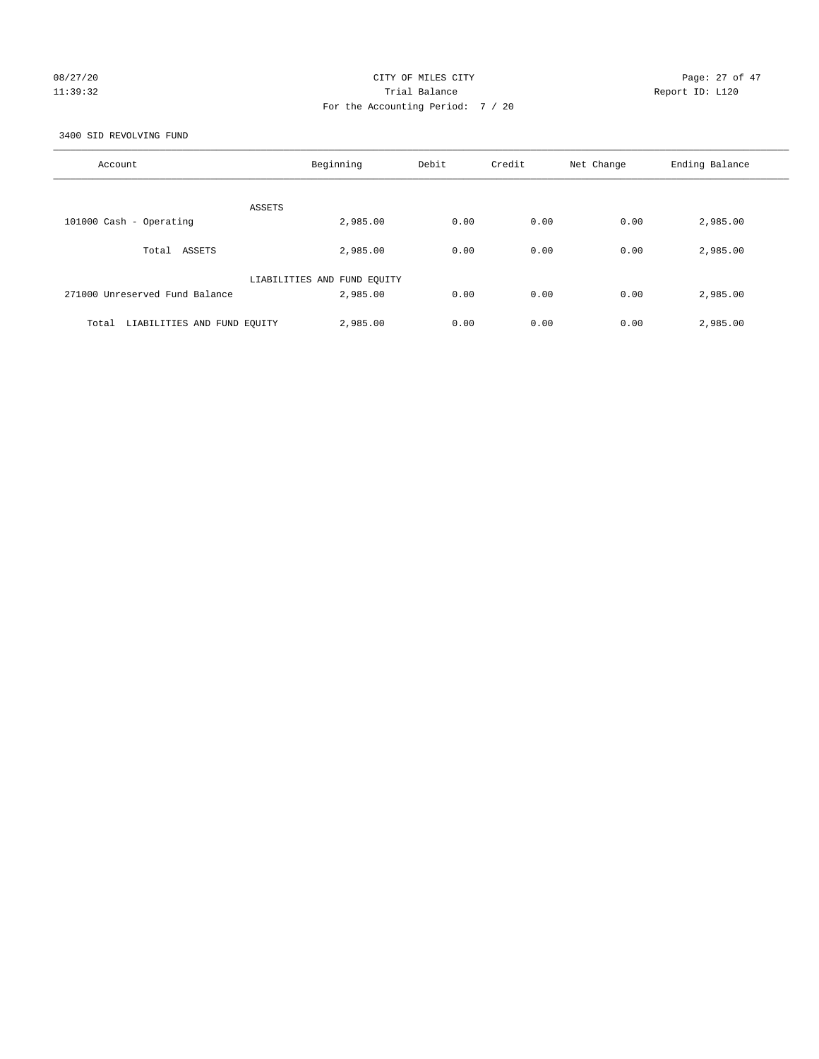# 08/27/20 Page: 27 of 47 11:39:32 Trial Balance Report ID: L120 For the Accounting Period: 7 / 20

3400 SID REVOLVING FUND

| Account                              | Beginning                   | Debit | Credit | Net Change | Ending Balance |
|--------------------------------------|-----------------------------|-------|--------|------------|----------------|
| ASSETS                               |                             |       |        |            |                |
| 101000 Cash - Operating              | 2,985.00                    | 0.00  | 0.00   | 0.00       | 2,985.00       |
| Total ASSETS                         | 2,985.00                    | 0.00  | 0.00   | 0.00       | 2,985.00       |
|                                      | LIABILITIES AND FUND EQUITY |       |        |            |                |
| 271000 Unreserved Fund Balance       | 2,985.00                    | 0.00  | 0.00   | 0.00       | 2,985.00       |
| LIABILITIES AND FUND EQUITY<br>Total | 2,985.00                    | 0.00  | 0.00   | 0.00       | 2,985.00       |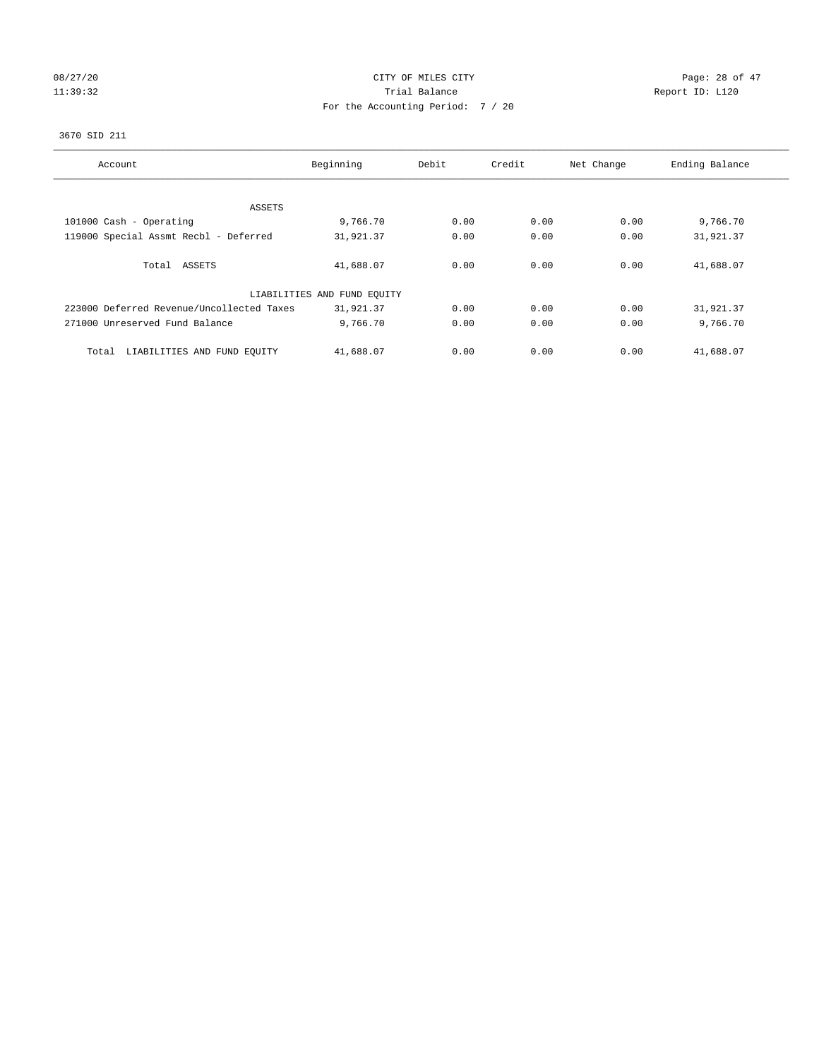# 08/27/20 Page: 28 of 47 11:39:32 Report ID: L120 For the Accounting Period: 7 / 20

## 3670 SID 211

| Account                                   | Beginning                   | Debit | Credit | Net Change | Ending Balance |
|-------------------------------------------|-----------------------------|-------|--------|------------|----------------|
|                                           |                             |       |        |            |                |
| ASSETS                                    |                             |       |        |            |                |
| 101000 Cash - Operating                   | 9,766.70                    | 0.00  | 0.00   | 0.00       | 9,766.70       |
| 119000 Special Assmt Recbl - Deferred     | 31,921.37                   | 0.00  | 0.00   | 0.00       | 31,921.37      |
|                                           |                             |       |        |            |                |
| Total ASSETS                              | 41,688.07                   | 0.00  | 0.00   | 0.00       | 41,688.07      |
|                                           |                             |       |        |            |                |
|                                           | LIABILITIES AND FUND EQUITY |       |        |            |                |
| 223000 Deferred Revenue/Uncollected Taxes | 31,921.37                   | 0.00  | 0.00   | 0.00       | 31,921.37      |
| 271000 Unreserved Fund Balance            | 9,766.70                    | 0.00  | 0.00   | 0.00       | 9,766.70       |
|                                           |                             |       |        |            |                |
| LIABILITIES AND FUND EQUITY<br>Total      | 41,688.07                   | 0.00  | 0.00   | 0.00       | 41,688.07      |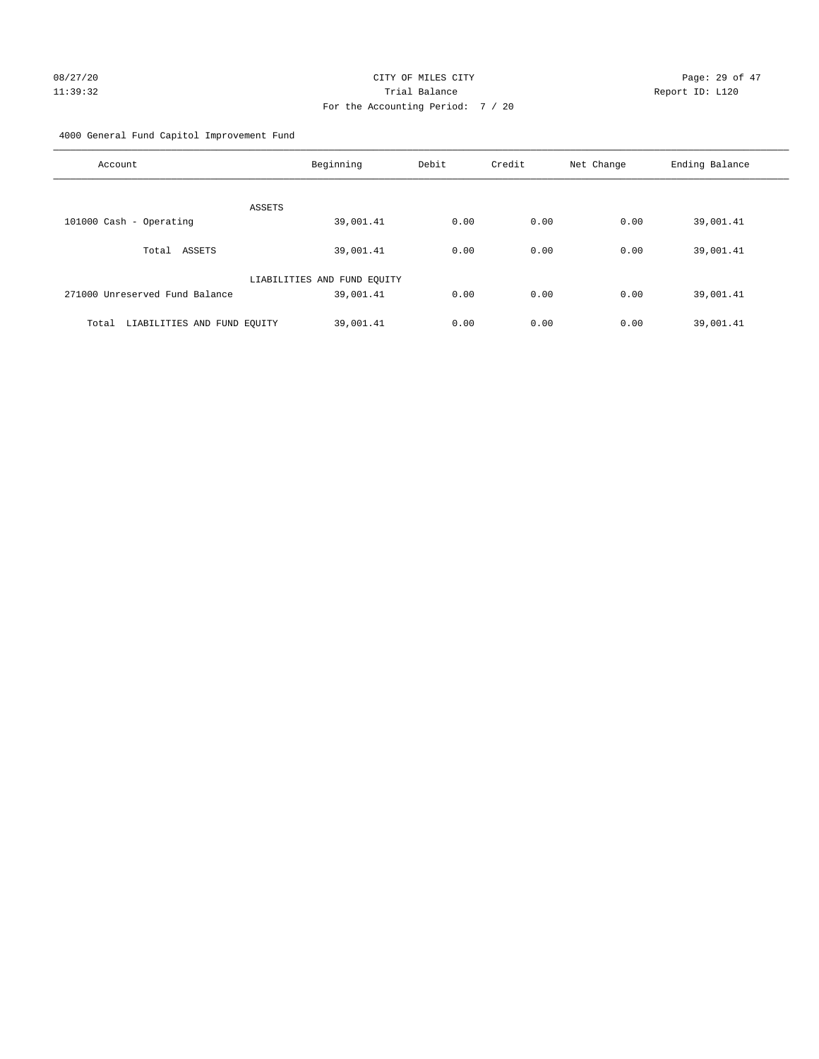4000 General Fund Capitol Improvement Fund

| Account                              | Beginning                   | Debit | Credit | Net Change | Ending Balance |
|--------------------------------------|-----------------------------|-------|--------|------------|----------------|
| ASSETS                               |                             |       |        |            |                |
| 101000 Cash - Operating              | 39,001.41                   | 0.00  | 0.00   | 0.00       | 39,001.41      |
| ASSETS<br>Total                      | 39,001.41                   | 0.00  | 0.00   | 0.00       | 39,001.41      |
|                                      | LIABILITIES AND FUND EQUITY |       |        |            |                |
| 271000 Unreserved Fund Balance       | 39,001.41                   | 0.00  | 0.00   | 0.00       | 39,001.41      |
| Total<br>LIABILITIES AND FUND EQUITY | 39,001.41                   | 0.00  | 0.00   | 0.00       | 39,001.41      |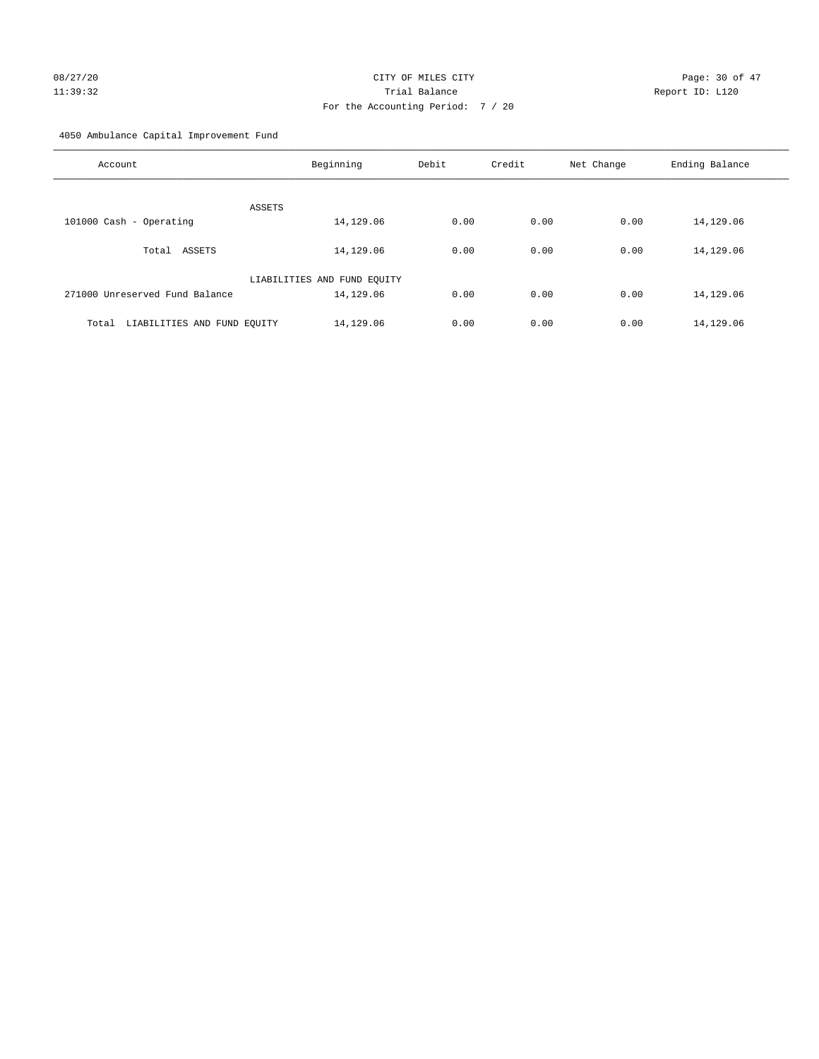# 08/27/20 Page: 30 of 47 11:39:32 Trial Balance Report ID: L120 For the Accounting Period: 7 / 20

4050 Ambulance Capital Improvement Fund

| Account                              | Beginning                   | Debit | Credit | Net Change | Ending Balance |
|--------------------------------------|-----------------------------|-------|--------|------------|----------------|
| ASSETS                               |                             |       |        |            |                |
| 101000 Cash - Operating              | 14,129.06                   | 0.00  | 0.00   | 0.00       | 14,129.06      |
| ASSETS<br>Total                      | 14,129.06                   | 0.00  | 0.00   | 0.00       | 14,129.06      |
|                                      | LIABILITIES AND FUND EQUITY |       |        |            |                |
| 271000 Unreserved Fund Balance       | 14,129.06                   | 0.00  | 0.00   | 0.00       | 14,129.06      |
| LIABILITIES AND FUND EQUITY<br>Total | 14,129.06                   | 0.00  | 0.00   | 0.00       | 14,129.06      |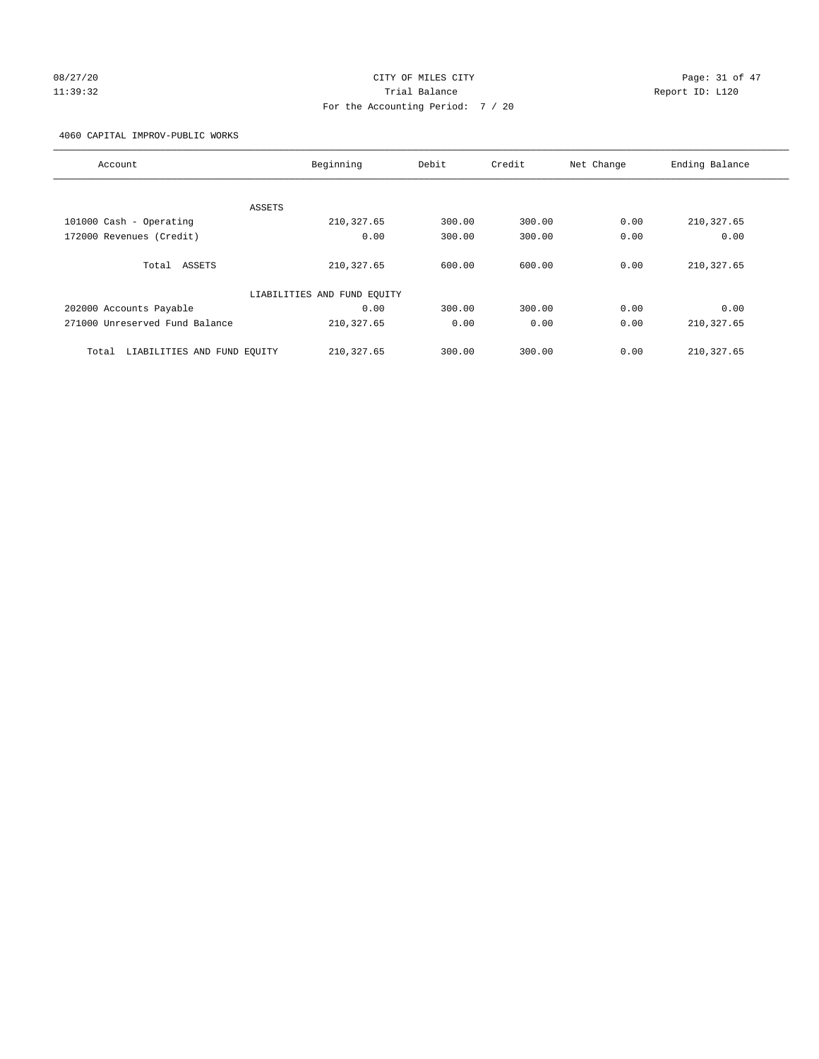# 08/27/20 Page: 31 of 47 11:39:32 Trial Balance Report ID: L120 For the Accounting Period: 7 / 20

4060 CAPITAL IMPROV-PUBLIC WORKS

| Account                              | Beginning                   | Debit  | Credit | Net Change | Ending Balance |
|--------------------------------------|-----------------------------|--------|--------|------------|----------------|
|                                      |                             |        |        |            |                |
|                                      | ASSETS                      |        |        |            |                |
| 101000 Cash - Operating              | 210, 327.65                 | 300.00 | 300.00 | 0.00       | 210, 327.65    |
| 172000 Revenues (Credit)             | 0.00                        | 300.00 | 300.00 | 0.00       | 0.00           |
|                                      |                             |        |        |            |                |
| Total ASSETS                         | 210, 327.65                 | 600.00 | 600.00 | 0.00       | 210,327.65     |
|                                      |                             |        |        |            |                |
|                                      | LIABILITIES AND FUND EQUITY |        |        |            |                |
| 202000 Accounts Payable              | 0.00                        | 300.00 | 300.00 | 0.00       | 0.00           |
| 271000 Unreserved Fund Balance       | 210, 327.65                 | 0.00   | 0.00   | 0.00       | 210,327.65     |
|                                      |                             |        |        |            |                |
| LIABILITIES AND FUND EQUITY<br>Total | 210, 327.65                 | 300.00 | 300.00 | 0.00       | 210, 327.65    |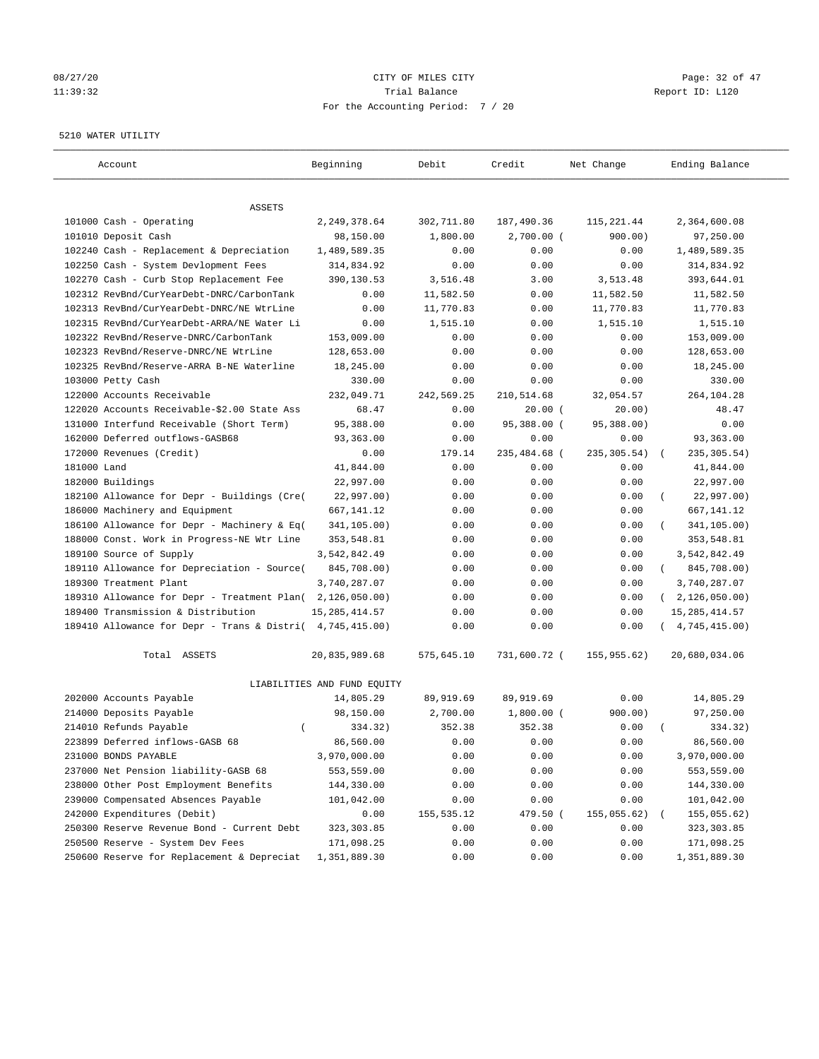# 08/27/20 Page: 32 of 47 11:39:32 Trial Balance Report ID: L120 For the Accounting Period: 7 / 20

#### 5210 WATER UTILITY

| Account                                                   | Beginning                   | Debit       | Credit       | Net Change   | Ending Balance          |
|-----------------------------------------------------------|-----------------------------|-------------|--------------|--------------|-------------------------|
| ASSETS                                                    |                             |             |              |              |                         |
| 101000 Cash - Operating                                   | 2,249,378.64                | 302,711.80  | 187,490.36   | 115, 221.44  | 2,364,600.08            |
| 101010 Deposit Cash                                       | 98,150.00                   | 1,800.00    | $2,700.00$ ( | 900.00)      | 97,250.00               |
| 102240 Cash - Replacement & Depreciation                  | 1,489,589.35                | 0.00        | 0.00         | 0.00         | 1,489,589.35            |
| 102250 Cash - System Devlopment Fees                      | 314,834.92                  | 0.00        | 0.00         | 0.00         | 314,834.92              |
| 102270 Cash - Curb Stop Replacement Fee                   | 390,130.53                  | 3,516.48    | 3.00         | 3,513.48     | 393,644.01              |
| 102312 RevBnd/CurYearDebt-DNRC/CarbonTank                 | 0.00                        | 11,582.50   | 0.00         | 11,582.50    | 11,582.50               |
| 102313 RevBnd/CurYearDebt-DNRC/NE WtrLine                 | 0.00                        | 11,770.83   | 0.00         | 11,770.83    | 11,770.83               |
| 102315 RevBnd/CurYearDebt-ARRA/NE Water Li                | 0.00                        | 1,515.10    | 0.00         | 1,515.10     | 1,515.10                |
| 102322 RevBnd/Reserve-DNRC/CarbonTank                     | 153,009.00                  | 0.00        | 0.00         | 0.00         | 153,009.00              |
| 102323 RevBnd/Reserve-DNRC/NE WtrLine                     | 128,653.00                  | 0.00        | 0.00         | 0.00         | 128,653.00              |
| 102325 RevBnd/Reserve-ARRA B-NE Waterline                 | 18,245.00                   | 0.00        | 0.00         | 0.00         | 18,245.00               |
| 103000 Petty Cash                                         | 330.00                      | 0.00        | 0.00         | 0.00         | 330.00                  |
| 122000 Accounts Receivable                                | 232,049.71                  | 242,569.25  | 210,514.68   | 32,054.57    | 264,104.28              |
| 122020 Accounts Receivable-\$2.00 State Ass               | 68.47                       | 0.00        | $20.00$ (    | 20.00)       | 48.47                   |
| 131000 Interfund Receivable (Short Term)                  | 95,388.00                   | 0.00        | 95,388.00 (  | 95,388.00)   | 0.00                    |
| 162000 Deferred outflows-GASB68                           | 93,363.00                   | 0.00        | 0.00         | 0.00         | 93,363.00               |
| 172000 Revenues (Credit)                                  | 0.00                        | 179.14      | 235,484.68 ( | 235, 305.54) | 235, 305.54)            |
| 181000 Land                                               | 41,844.00                   | 0.00        | 0.00         | 0.00         | 41,844.00               |
| 182000 Buildings                                          | 22,997.00                   | 0.00        | 0.00         | 0.00         | 22,997.00               |
| 182100 Allowance for Depr - Buildings (Cre(               | 22,997.00)                  | 0.00        | 0.00         | 0.00         | 22,997.00)              |
| 186000 Machinery and Equipment                            | 667,141.12                  | 0.00        | 0.00         | 0.00         | 667, 141. 12            |
| 186100 Allowance for Depr - Machinery & Eq(               | 341,105.00)                 | 0.00        | 0.00         | 0.00         | 341,105.00)             |
| 188000 Const. Work in Progress-NE Wtr Line                | 353,548.81                  | 0.00        | 0.00         | 0.00         | 353,548.81              |
| 189100 Source of Supply                                   | 3,542,842.49                | 0.00        | 0.00         | 0.00         | 3,542,842.49            |
| 189110 Allowance for Depreciation - Source(               | 845,708.00)                 | 0.00        | 0.00         | 0.00         | 845,708.00)<br>$\left($ |
| 189300 Treatment Plant                                    | 3,740,287.07                | 0.00        | 0.00         | 0.00         | 3,740,287.07            |
| 189310 Allowance for Depr - Treatment Plan(               | 2, 126, 050.00)             | 0.00        | 0.00         | 0.00         | (2, 126, 050.00)        |
| 189400 Transmission & Distribution                        | 15, 285, 414.57             | 0.00        | 0.00         | 0.00         | 15, 285, 414.57         |
| 189410 Allowance for Depr - Trans & Distri( 4,745,415.00) |                             | 0.00        | 0.00         | 0.00         | 4,745,415.00)           |
| Total ASSETS                                              | 20,835,989.68               | 575,645.10  | 731,600.72 ( | 155,955.62)  | 20,680,034.06           |
|                                                           | LIABILITIES AND FUND EQUITY |             |              |              |                         |
| 202000 Accounts Payable                                   | 14,805.29                   | 89,919.69   | 89,919.69    | 0.00         | 14,805.29               |
| 214000 Deposits Payable                                   | 98,150.00                   | 2,700.00    | $1,800.00$ ( | 900.00)      | 97,250.00               |
| 214010 Refunds Payable<br>$\left($                        | 334.32)                     | 352.38      | 352.38       | 0.00         | 334.32)                 |
| 223899 Deferred inflows-GASB 68                           | 86,560.00                   | 0.00        | 0.00         | 0.00         | 86,560.00               |
| 231000 BONDS PAYABLE                                      | 3,970,000.00                | 0.00        | 0.00         | 0.00         | 3,970,000.00            |
| 237000 Net Pension liability-GASB 68                      | 553,559.00                  | 0.00        | 0.00         | 0.00         | 553,559.00              |
| 238000 Other Post Employment Benefits                     | 144,330.00                  | 0.00        | 0.00         | 0.00         | 144,330.00              |
| 239000 Compensated Absences Payable                       | 101,042.00                  | 0.00        | 0.00         | 0.00         | 101,042.00              |
| 242000 Expenditures (Debit)                               | 0.00                        | 155, 535.12 | 479.50 (     | 155,055.62)  | 155,055.62)             |
| 250300 Reserve Revenue Bond - Current Debt                | 323, 303.85                 | 0.00        | 0.00         | 0.00         | 323, 303.85             |
| 250500 Reserve - System Dev Fees                          | 171,098.25                  | 0.00        | 0.00         | 0.00         | 171,098.25              |
| 250600 Reserve for Replacement & Depreciat                | 1,351,889.30                | 0.00        | 0.00         | 0.00         | 1,351,889.30            |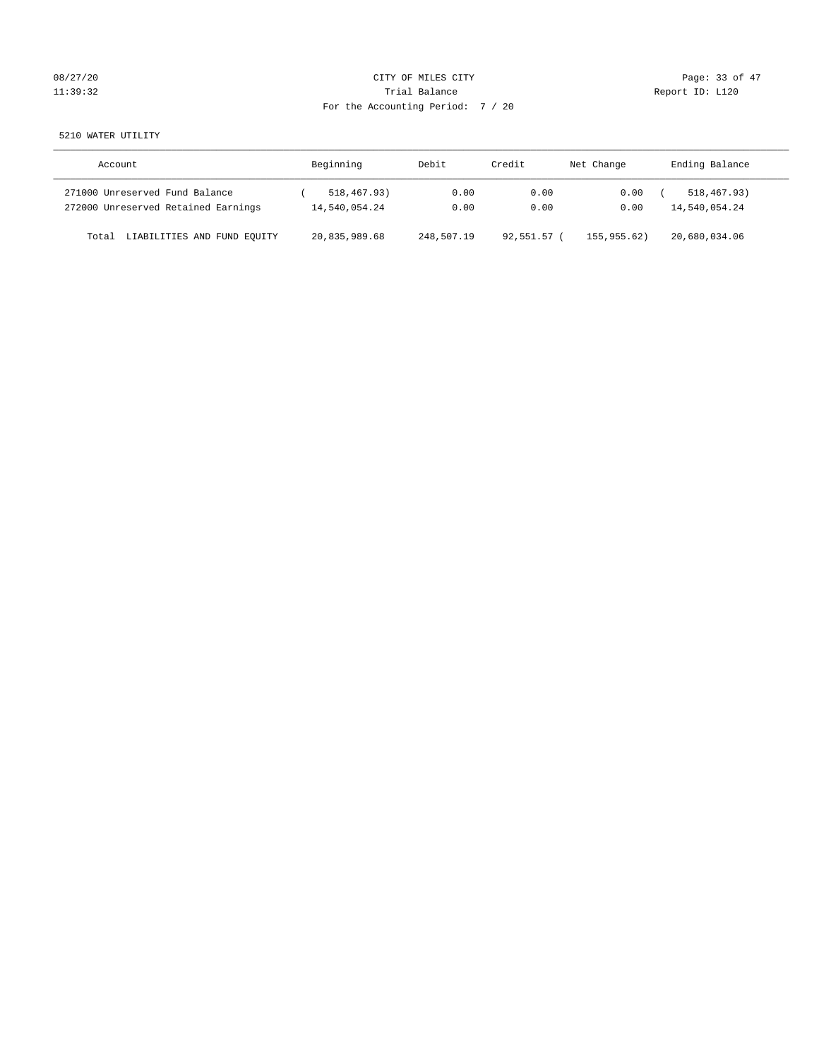|  | 08/27/20 |
|--|----------|
|  | 11:39:32 |

# CITY OF MILES CITY CONTROL CONTROL CITY CONTROL Page: 33 of 47 Trial Balance<br>
11:39:32 Trial Balance<br>
12:32 Trial Balance<br>
12:32 Trial Balance For the Accounting Period: 7 / 20

## 5210 WATER UTILITY

| Account                              | Beginning     | Debit      | Credit    | Net Change | Ending Balance |
|--------------------------------------|---------------|------------|-----------|------------|----------------|
| 271000 Unreserved Fund Balance       | 518,467.93)   | 0.00       | 0.00      | 0.00       | 518, 467, 93)  |
| 272000 Unreserved Retained Earnings  | 14,540,054.24 | 0.00       | 0.00      | 0.00       | 14,540,054.24  |
| LIABILITIES AND FUND EQUITY<br>Total | 20,835,989.68 | 248,507.19 | 92,551.57 | 155.955.62 | 20,680,034.06  |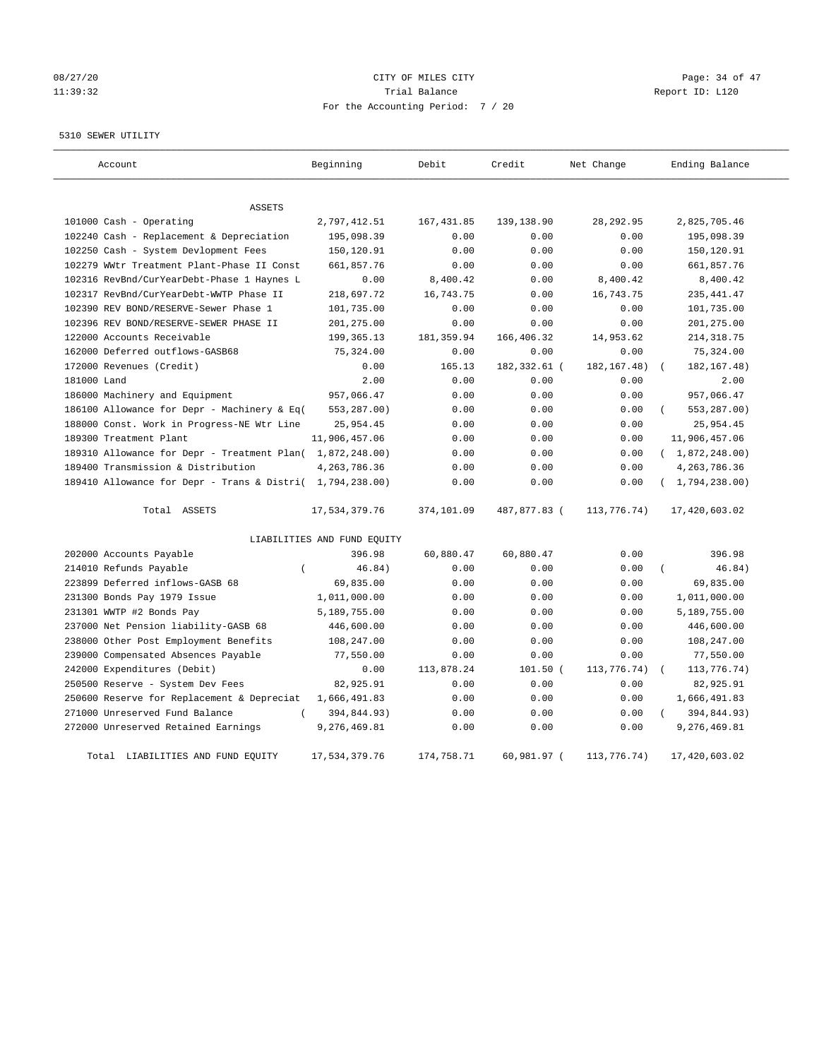# 08/27/20 Page: 34 of 47 11:39:32 Trial Balance Report ID: L120 For the Accounting Period: 7 / 20

#### 5310 SEWER UTILITY

| Account                                                   | Beginning                   | Debit       | Credit        | Net Change    | Ending Balance              |
|-----------------------------------------------------------|-----------------------------|-------------|---------------|---------------|-----------------------------|
| <b>ASSETS</b>                                             |                             |             |               |               |                             |
| 101000 Cash - Operating                                   | 2,797,412.51                | 167, 431.85 | 139, 138.90   | 28, 292.95    | 2,825,705.46                |
| 102240 Cash - Replacement & Depreciation                  | 195,098.39                  | 0.00        | 0.00          | 0.00          | 195,098.39                  |
| 102250 Cash - System Devlopment Fees                      | 150,120.91                  | 0.00        | 0.00          | 0.00          | 150,120.91                  |
| 102279 WWtr Treatment Plant-Phase II Const                | 661,857.76                  | 0.00        | 0.00          | 0.00          | 661,857.76                  |
| 102316 RevBnd/CurYearDebt-Phase 1 Haynes L                | 0.00                        | 8,400.42    | 0.00          | 8,400.42      | 8,400.42                    |
| 102317 RevBnd/CurYearDebt-WWTP Phase II                   | 218,697.72                  | 16,743.75   | 0.00          | 16,743.75     | 235, 441.47                 |
| 102390 REV BOND/RESERVE-Sewer Phase 1                     | 101,735.00                  | 0.00        | 0.00          | 0.00          | 101,735.00                  |
| 102396 REV BOND/RESERVE-SEWER PHASE II                    | 201,275.00                  | 0.00        | 0.00          | 0.00          | 201,275.00                  |
| 122000 Accounts Receivable                                | 199, 365. 13                | 181, 359.94 | 166,406.32    | 14,953.62     | 214, 318.75                 |
| 162000 Deferred outflows-GASB68                           | 75,324.00                   | 0.00        | 0.00          | 0.00          | 75,324.00                   |
| 172000 Revenues (Credit)                                  | 0.00                        | 165.13      | 182,332.61 (  | 182, 167. 48) | 182, 167. 48)<br>$\sqrt{ }$ |
| 181000 Land                                               | 2.00                        | 0.00        | 0.00          | 0.00          | 2.00                        |
| 186000 Machinery and Equipment                            | 957,066.47                  | 0.00        | 0.00          | 0.00          | 957,066.47                  |
| 186100 Allowance for Depr - Machinery & Eq(               | 553,287.00)                 | 0.00        | 0.00          | 0.00          | 553,287.00)                 |
| 188000 Const. Work in Progress-NE Wtr Line                | 25,954.45                   | 0.00        | 0.00          | 0.00          | 25,954.45                   |
| 189300 Treatment Plant                                    | 11,906,457.06               | 0.00        | 0.00          | 0.00          | 11,906,457.06               |
| 189310 Allowance for Depr - Treatment Plan( 1,872,248.00) |                             | 0.00        | 0.00          | 0.00          | (1,872,248.00)              |
| 189400 Transmission & Distribution                        | 4, 263, 786. 36             | 0.00        | 0.00          | 0.00          | 4, 263, 786.36              |
| 189410 Allowance for Depr - Trans & Distri( 1,794,238.00) |                             | 0.00        | 0.00          | 0.00          | (1, 794, 238.00)            |
| Total ASSETS                                              | 17,534,379.76               | 374,101.09  | 487,877.83 (  | 113,776.74)   | 17,420,603.02               |
|                                                           | LIABILITIES AND FUND EQUITY |             |               |               |                             |
| 202000 Accounts Payable                                   | 396.98                      | 60,880.47   | 60,880.47     | 0.00          | 396.98                      |
| 214010 Refunds Payable<br>$\left($                        | 46.84)                      | 0.00        | 0.00          | 0.00          | 46.84)                      |
| 223899 Deferred inflows-GASB 68                           | 69,835.00                   | 0.00        | 0.00          | 0.00          | 69,835.00                   |
| 231300 Bonds Pay 1979 Issue                               | 1,011,000.00                | 0.00        | 0.00          | 0.00          | 1,011,000.00                |
| 231301 WWTP #2 Bonds Pay                                  | 5,189,755.00                | 0.00        | 0.00          | 0.00          | 5,189,755.00                |
| 237000 Net Pension liability-GASB 68                      | 446,600.00                  | 0.00        | 0.00          | 0.00          | 446,600.00                  |
| 238000 Other Post Employment Benefits                     | 108,247.00                  | 0.00        | 0.00          | 0.00          | 108,247.00                  |
| 239000 Compensated Absences Payable                       | 77,550.00                   | 0.00        | 0.00          | 0.00          | 77,550.00                   |
| 242000 Expenditures (Debit)                               | 0.00                        | 113,878.24  | $101.50$ (    | 113,776.74)   | 113,776.74)                 |
| 250500 Reserve - System Dev Fees                          | 82,925.91                   | 0.00        | 0.00          | 0.00          | 82,925.91                   |
| 250600 Reserve for Replacement & Depreciat                | 1,666,491.83                | 0.00        | 0.00          | 0.00          | 1,666,491.83                |
| 271000 Unreserved Fund Balance                            | 394,844.93)                 | 0.00        | 0.00          | 0.00          | 394,844.93)                 |
| 272000 Unreserved Retained Earnings                       | 9,276,469.81                | 0.00        | 0.00          | 0.00          | 9,276,469.81                |
| Total LIABILITIES AND FUND EOUITY                         | 17,534,379.76               | 174,758.71  | $60.981.97$ ( | 113,776.74)   | 17,420,603.02               |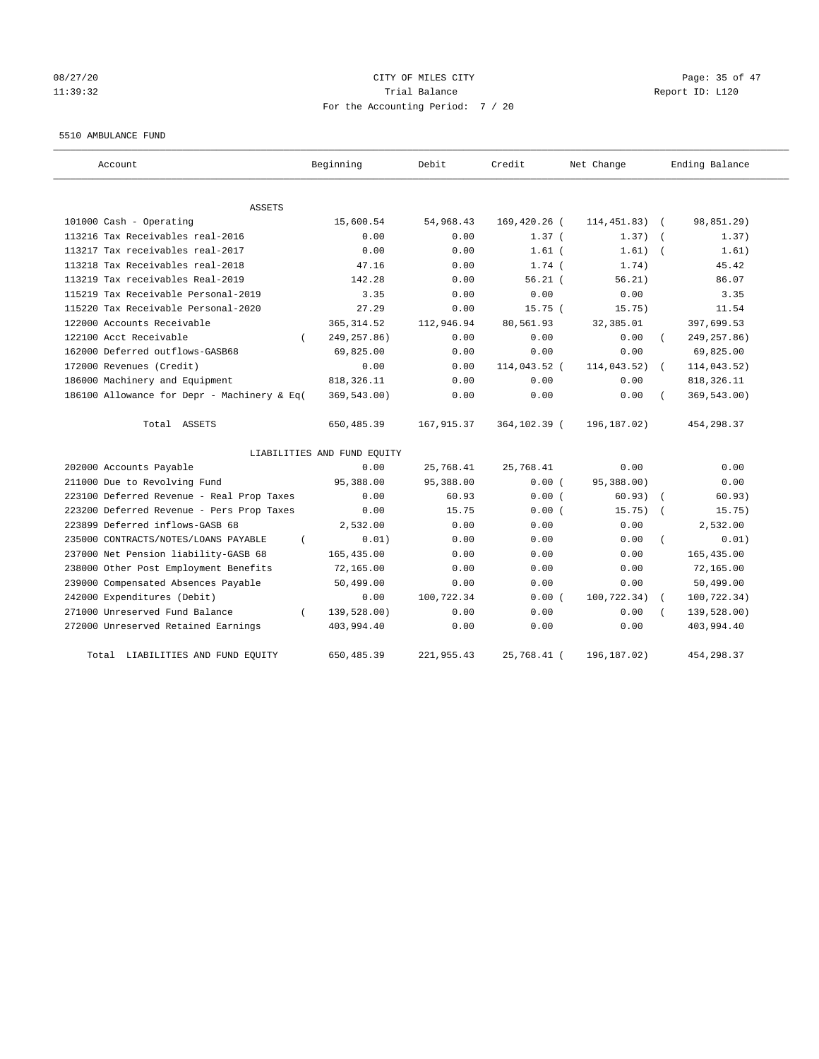# 08/27/20 Page: 35 of 47 11:39:32 Report ID: L120 For the Accounting Period: 7 / 20

#### 5510 AMBULANCE FUND

| Account                                     | Beginning                   | Debit       | Credit       | Net Change   | Ending Balance |
|---------------------------------------------|-----------------------------|-------------|--------------|--------------|----------------|
| ASSETS                                      |                             |             |              |              |                |
| 101000 Cash - Operating                     | 15,600.54                   | 54,968.43   | 169,420.26 ( | 114, 451.83) | 98,851.29)     |
| 113216 Tax Receivables real-2016            | 0.00                        | 0.00        | $1.37$ (     | 1.37)        | 1.37)          |
| 113217 Tax receivables real-2017            | 0.00                        | 0.00        | $1.61$ (     | 1.61)        | 1.61)          |
| 113218 Tax Receivables real-2018            | 47.16                       | 0.00        | $1.74$ (     | 1.74)        | 45.42          |
| 113219 Tax receivables Real-2019            | 142.28                      | 0.00        | $56.21$ (    | 56.21)       | 86.07          |
| 115219 Tax Receivable Personal-2019         | 3.35                        | 0.00        | 0.00         | 0.00         | 3.35           |
| 115220 Tax Receivable Personal-2020         | 27.29                       | 0.00        | 15.75(       | 15.75)       | 11.54          |
| 122000 Accounts Receivable                  | 365, 314.52                 | 112,946.94  | 80,561.93    | 32,385.01    | 397,699.53     |
| 122100 Acct Receivable                      | 249, 257.86)                | 0.00        | 0.00         | 0.00         | 249, 257.86)   |
| 162000 Deferred outflows-GASB68             | 69,825.00                   | 0.00        | 0.00         | 0.00         | 69,825.00      |
| 172000 Revenues (Credit)                    | 0.00                        | 0.00        | 114,043.52 ( | 114,043.52)  | 114,043.52)    |
| 186000 Machinery and Equipment              | 818, 326.11                 | 0.00        | 0.00         | 0.00         | 818, 326.11    |
| 186100 Allowance for Depr - Machinery & Eq( | 369, 543.00)                | 0.00        | 0.00         | 0.00         | 369,543.00)    |
| Total ASSETS                                | 650,485.39                  | 167, 915.37 | 364,102.39 ( | 196, 187.02) | 454,298.37     |
|                                             | LIABILITIES AND FUND EQUITY |             |              |              |                |
| 202000 Accounts Payable                     | 0.00                        | 25,768.41   | 25,768.41    | 0.00         | 0.00           |
| 211000 Due to Revolving Fund                | 95,388.00                   | 95,388.00   | 0.00(        | 95,388.00)   | 0.00           |
| 223100 Deferred Revenue - Real Prop Taxes   | 0.00                        | 60.93       | 0.00(        | 60.93)       | 60.93)         |
| 223200 Deferred Revenue - Pers Prop Taxes   | 0.00                        | 15.75       | 0.00(        | 15.75)       | 15.75)         |
| 223899 Deferred inflows-GASB 68             | 2,532.00                    | 0.00        | 0.00         | 0.00         | 2,532.00       |
| 235000 CONTRACTS/NOTES/LOANS PAYABLE        | 0.01)                       | 0.00        | 0.00         | 0.00         | 0.01)          |
| 237000 Net Pension liability-GASB 68        | 165,435.00                  | 0.00        | 0.00         | 0.00         | 165, 435.00    |
| 238000 Other Post Employment Benefits       | 72,165.00                   | 0.00        | 0.00         | 0.00         | 72,165.00      |
| 239000 Compensated Absences Payable         | 50,499.00                   | 0.00        | 0.00         | 0.00         | 50,499.00      |
| 242000 Expenditures (Debit)                 | 0.00                        | 100,722.34  | 0.00(        | 100, 722.34) | 100,722.34)    |
| 271000 Unreserved Fund Balance              | 139,528.00)                 | 0.00        | 0.00         | 0.00         | 139,528.00)    |
| 272000 Unreserved Retained Earnings         | 403,994.40                  | 0.00        | 0.00         | 0.00         | 403,994.40     |
| LIABILITIES AND FUND EQUITY<br>Total        | 650, 485.39                 | 221,955.43  | 25,768.41 (  | 196, 187.02) | 454, 298.37    |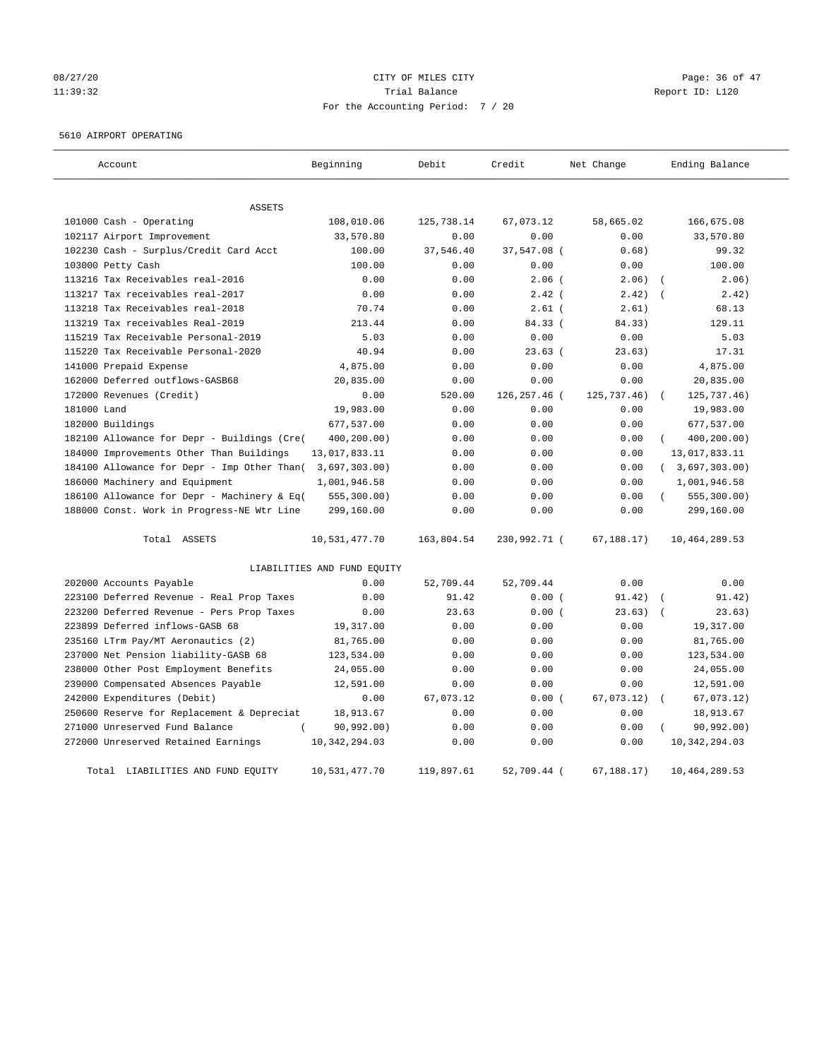# 08/27/20 Page: 36 of 47 11:39:32 Report ID: L120 For the Accounting Period: 7 / 20

## 5610 AIRPORT OPERATING

| Account                                     | Beginning                   | Debit      | Credit       | Net Change     | Ending Balance            |
|---------------------------------------------|-----------------------------|------------|--------------|----------------|---------------------------|
| <b>ASSETS</b>                               |                             |            |              |                |                           |
| 101000 Cash - Operating                     | 108,010.06                  | 125,738.14 | 67,073.12    | 58,665.02      | 166,675.08                |
| 102117 Airport Improvement                  | 33,570.80                   | 0.00       | 0.00         | 0.00           | 33,570.80                 |
| 102230 Cash - Surplus/Credit Card Acct      | 100.00                      | 37,546.40  | 37,547.08 (  | 0.68)          | 99.32                     |
| 103000 Petty Cash                           | 100.00                      | 0.00       | 0.00         | 0.00           | 100.00                    |
| 113216 Tax Receivables real-2016            | 0.00                        | 0.00       | $2.06$ (     | 2.06)          | 2.06)                     |
| 113217 Tax receivables real-2017            | 0.00                        | 0.00       | $2.42$ (     | 2.42)          | 2.42)                     |
| 113218 Tax Receivables real-2018            | 70.74                       | 0.00       | $2.61$ (     | 2.61)          | 68.13                     |
| 113219 Tax receivables Real-2019            | 213.44                      | 0.00       | 84.33 (      | 84.33)         | 129.11                    |
| 115219 Tax Receivable Personal-2019         | 5.03                        | 0.00       | 0.00         | 0.00           | 5.03                      |
| 115220 Tax Receivable Personal-2020         | 40.94                       | 0.00       | 23.63(       | 23.63)         | 17.31                     |
| 141000 Prepaid Expense                      | 4,875.00                    | 0.00       | 0.00         | 0.00           | 4,875.00                  |
| 162000 Deferred outflows-GASB68             | 20,835.00                   | 0.00       | 0.00         | 0.00           | 20,835.00                 |
| 172000 Revenues (Credit)                    | 0.00                        | 520.00     | 126,257.46 ( | 125,737.46)    | 125,737.46)               |
| 181000 Land                                 | 19,983.00                   | 0.00       | 0.00         | 0.00           | 19,983.00                 |
| 182000 Buildings                            | 677,537.00                  | 0.00       | 0.00         | 0.00           | 677,537.00                |
| 182100 Allowance for Depr - Buildings (Cre( | 400,200.00)                 | 0.00       | 0.00         | 0.00           | 400,200.00)<br>$\sqrt{2}$ |
| 184000 Improvements Other Than Buildings    | 13,017,833.11               | 0.00       | 0.00         | 0.00           | 13,017,833.11             |
| 184100 Allowance for Depr - Imp Other Than( | 3,697,303.00)               | 0.00       | 0.00         | 0.00           | (3,697,303.00)            |
| 186000 Machinery and Equipment              | 1,001,946.58                | 0.00       | 0.00         | 0.00           | 1,001,946.58              |
| 186100 Allowance for Depr - Machinery & Eq( | 555, 300.00)                | 0.00       | 0.00         | 0.00           | 555, 300.00)              |
| 188000 Const. Work in Progress-NE Wtr Line  | 299,160.00                  | 0.00       | 0.00         | 0.00           | 299,160.00                |
| Total ASSETS                                | 10,531,477.70               | 163,804.54 | 230,992.71 ( | 67, 188.17)    | 10,464,289.53             |
|                                             | LIABILITIES AND FUND EQUITY |            |              |                |                           |
| 202000 Accounts Payable                     | 0.00                        | 52,709.44  | 52,709.44    | 0.00           | 0.00                      |
| 223100 Deferred Revenue - Real Prop Taxes   | 0.00                        | 91.42      | 0.00(        | 91.42)         | 91.42)                    |
| 223200 Deferred Revenue - Pers Prop Taxes   | 0.00                        | 23.63      | 0.00(        | 23.63)         | 23.63)                    |
| 223899 Deferred inflows-GASB 68             | 19,317.00                   | 0.00       | 0.00         | 0.00           | 19,317.00                 |
| 235160 LTrm Pay/MT Aeronautics (2)          | 81,765.00                   | 0.00       | 0.00         | 0.00           | 81,765.00                 |
| 237000 Net Pension liability-GASB 68        | 123,534.00                  | 0.00       | 0.00         | 0.00           | 123,534.00                |
| 238000 Other Post Employment Benefits       | 24,055.00                   | 0.00       | 0.00         | 0.00           | 24,055.00                 |
| 239000 Compensated Absences Payable         | 12,591.00                   | 0.00       | 0.00         | 0.00           | 12,591.00                 |
| 242000 Expenditures (Debit)                 | 0.00                        | 67,073.12  | 0.00(        | 67,073.12)     | 67,073.12)                |
| 250600 Reserve for Replacement & Depreciat  | 18,913.67                   | 0.00       | 0.00         | 0.00           | 18,913.67                 |
| 271000 Unreserved Fund Balance              | 90,992.00)                  | 0.00       | 0.00         | 0.00           | 90,992.00)                |
| 272000 Unreserved Retained Earnings         | 10, 342, 294.03             | 0.00       | 0.00         | 0.00           | 10, 342, 294.03           |
| Total LIABILITIES AND FUND EQUITY           | 10,531,477.70               | 119,897.61 | 52,709.44 (  | $67, 188.17$ ) | 10,464,289.53             |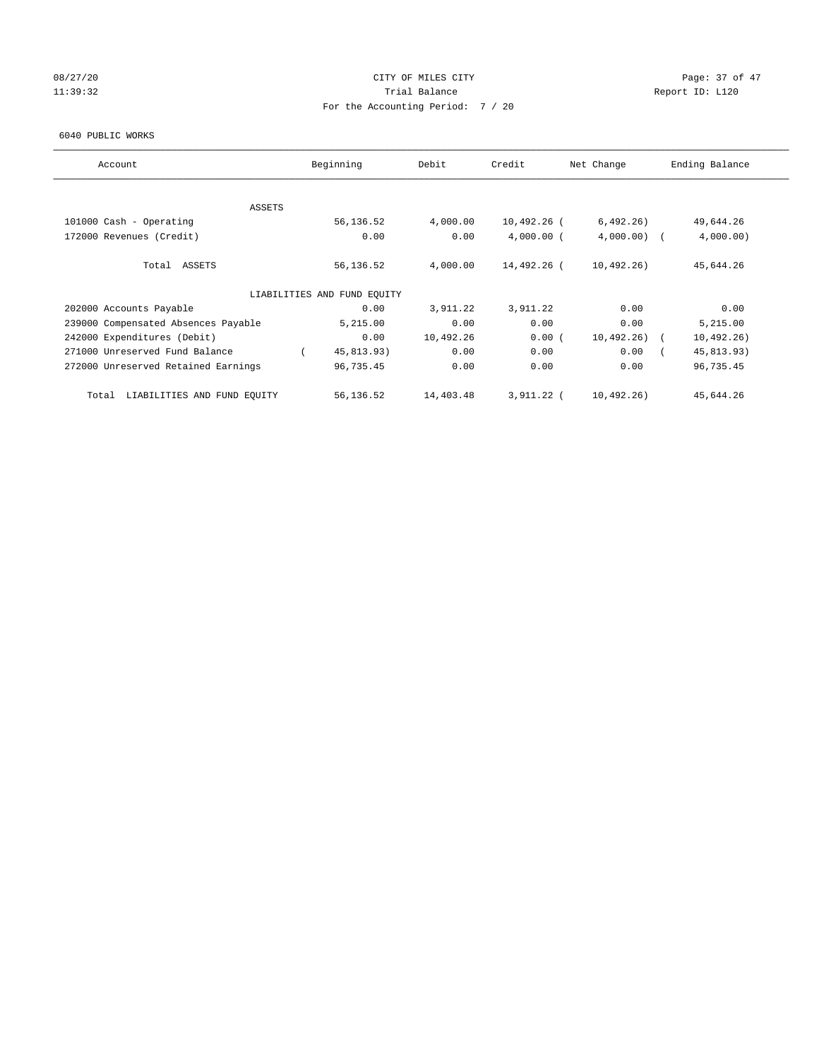# 08/27/20 Page: 37 of 47 11:39:32 Report ID: L120 For the Accounting Period: 7 / 20

#### 6040 PUBLIC WORKS

| Account                              | Beginning                   | Debit     | Credit       | Net Change    | Ending Balance |
|--------------------------------------|-----------------------------|-----------|--------------|---------------|----------------|
| <b>ASSETS</b>                        |                             |           |              |               |                |
| 101000 Cash - Operating              | 56,136.52                   | 4,000.00  | 10,492.26 (  | 6,492.26)     | 49,644.26      |
| 172000 Revenues (Credit)             | 0.00                        | 0.00      | $4,000.00$ ( | $4,000.00)$ ( | 4,000.00)      |
|                                      |                             |           |              |               |                |
| Total ASSETS                         | 56,136.52                   | 4,000.00  | 14,492.26 (  | 10,492.26)    | 45,644.26      |
|                                      | LIABILITIES AND FUND EQUITY |           |              |               |                |
| 202000 Accounts Payable              | 0.00                        | 3,911.22  | 3,911.22     | 0.00          | 0.00           |
| 239000 Compensated Absences Payable  | 5,215.00                    | 0.00      | 0.00         | 0.00          | 5,215.00       |
| 242000 Expenditures (Debit)          | 0.00                        | 10,492.26 | 0.00(        | $10,492.26$ ( | 10, 492.26)    |
| 271000 Unreserved Fund Balance       | 45,813.93)                  | 0.00      | 0.00         | 0.00          | 45,813.93)     |
| 272000 Unreserved Retained Earnings  | 96,735.45                   | 0.00      | 0.00         | 0.00          | 96,735.45      |
| LIABILITIES AND FUND EQUITY<br>Total | 56,136.52                   | 14,403.48 | 3,911.22 (   | 10,492.26)    | 45,644.26      |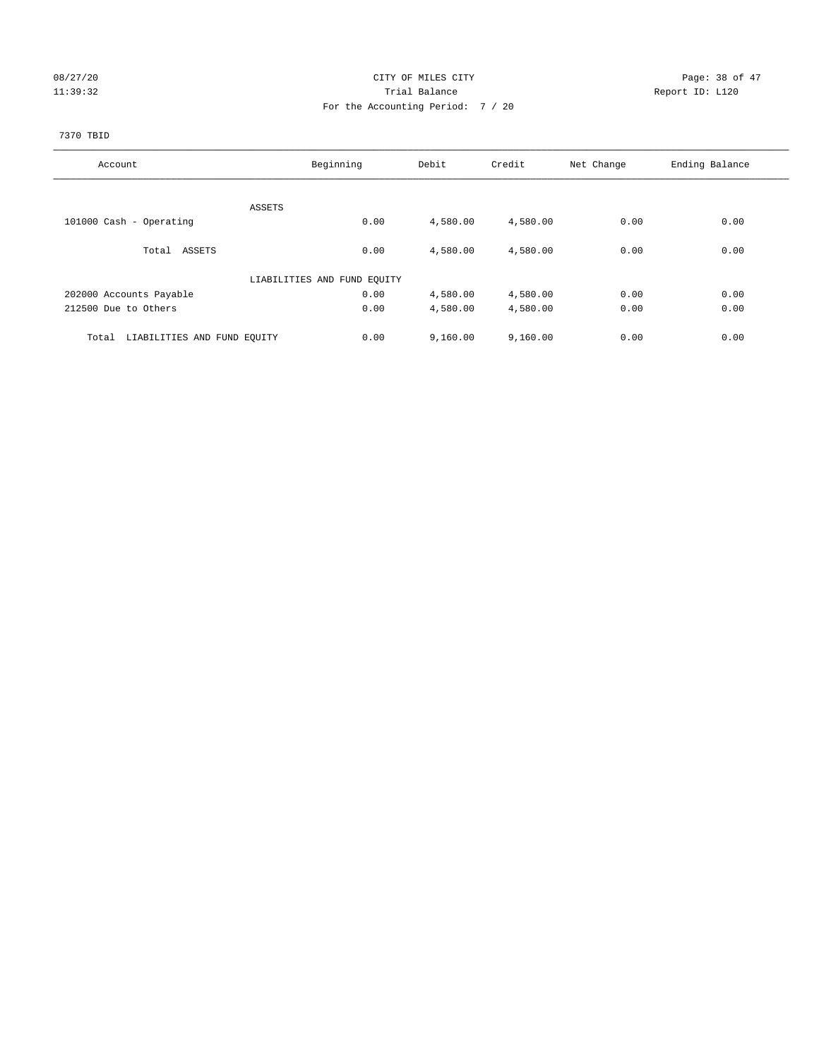# 08/27/20 Page: 38 of 47 11:39:32 Report ID: L120 For the Accounting Period: 7 / 20

## 7370 TBID

| Account                              | Beginning                   | Debit    | Credit   | Net Change | Ending Balance |
|--------------------------------------|-----------------------------|----------|----------|------------|----------------|
|                                      |                             |          |          |            |                |
|                                      | ASSETS                      |          |          |            |                |
| 101000 Cash - Operating              | 0.00                        | 4,580.00 | 4,580.00 | 0.00       | 0.00           |
|                                      |                             |          |          |            |                |
| Total ASSETS                         | 0.00                        | 4,580.00 | 4,580.00 | 0.00       | 0.00           |
|                                      |                             |          |          |            |                |
|                                      | LIABILITIES AND FUND EQUITY |          |          |            |                |
| 202000 Accounts Payable              | 0.00                        | 4,580.00 | 4,580.00 | 0.00       | 0.00           |
| 212500 Due to Others                 | 0.00                        | 4,580.00 | 4,580.00 | 0.00       | 0.00           |
|                                      |                             |          |          |            |                |
| LIABILITIES AND FUND EQUITY<br>Total | 0.00                        | 9,160.00 | 9,160.00 | 0.00       | 0.00           |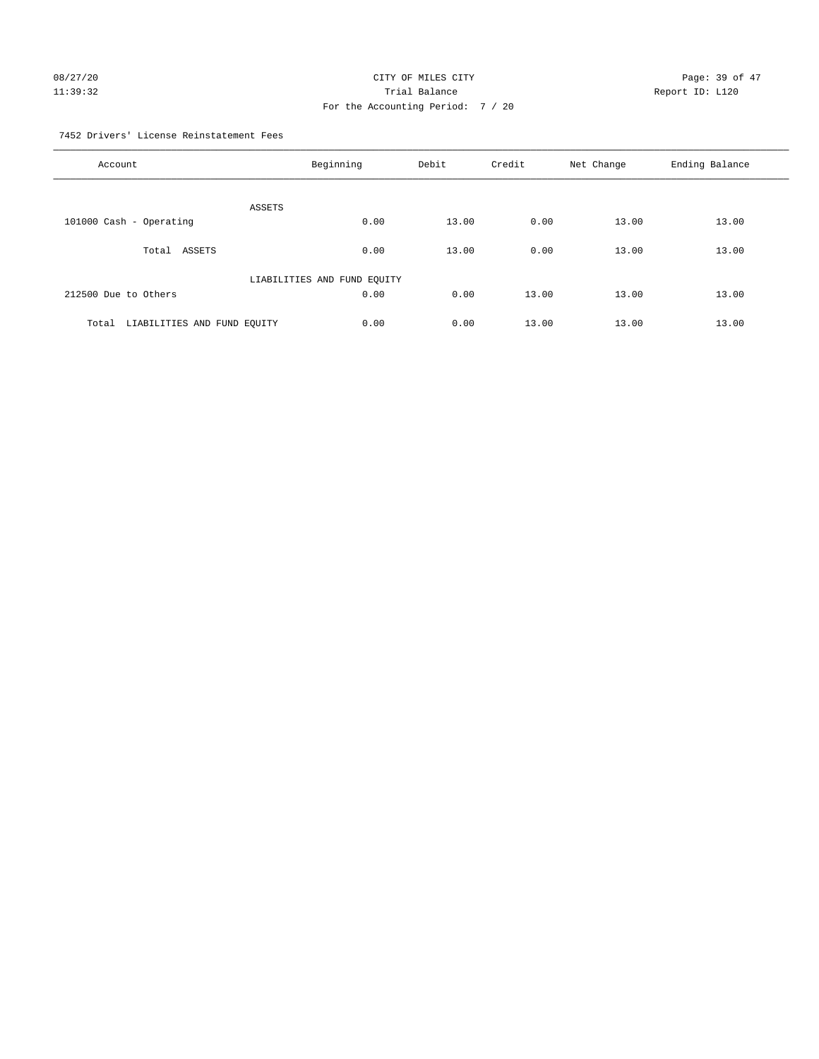# 08/27/20 Page: 39 of 47 11:39:32 Report ID: L120 For the Accounting Period: 7 / 20

7452 Drivers' License Reinstatement Fees

| Account                              | Beginning                   | Debit | Credit | Net Change | Ending Balance |
|--------------------------------------|-----------------------------|-------|--------|------------|----------------|
| <b>ASSETS</b>                        |                             |       |        |            |                |
| 101000 Cash - Operating              | 0.00                        | 13.00 | 0.00   | 13.00      | 13.00          |
| ASSETS<br>Total                      | 0.00                        | 13.00 | 0.00   | 13.00      | 13.00          |
|                                      | LIABILITIES AND FUND EQUITY |       |        |            |                |
| 212500 Due to Others                 | 0.00                        | 0.00  | 13.00  | 13.00      | 13.00          |
| LIABILITIES AND FUND EQUITY<br>Total | 0.00                        | 0.00  | 13.00  | 13.00      | 13.00          |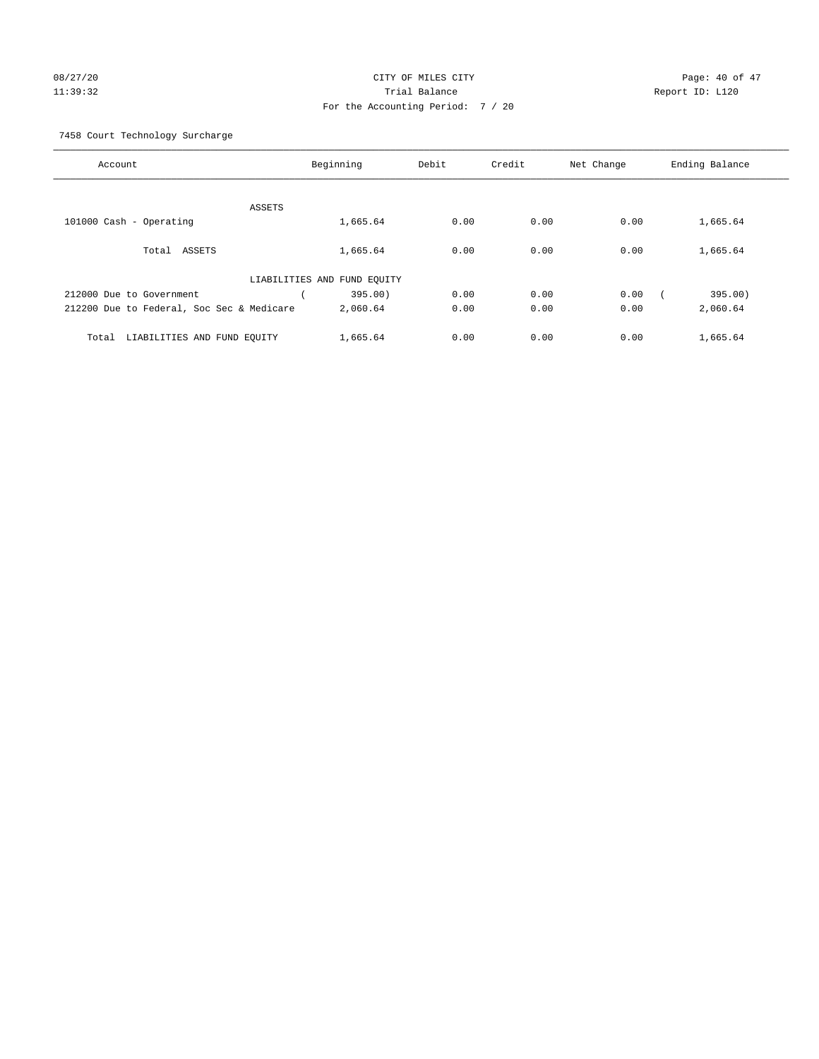# 08/27/20 Page: 40 of 47 11:39:32 Trial Balance Report ID: L120 For the Accounting Period: 7 / 20

7458 Court Technology Surcharge

| Account                                   | Beginning                   | Debit           | Credit | Net Change | Ending Balance |
|-------------------------------------------|-----------------------------|-----------------|--------|------------|----------------|
|                                           |                             |                 |        |            |                |
|                                           | ASSETS                      |                 |        |            |                |
| 101000 Cash - Operating                   | 1,665.64                    | 0.00            | 0.00   | 0.00       | 1,665.64       |
| Total<br>ASSETS                           | 1,665.64                    | 0.00            | 0.00   | 0.00       | 1,665.64       |
|                                           | LIABILITIES AND FUND EQUITY |                 |        |            |                |
| 212000 Due to Government                  |                             | 0.00<br>395.00) | 0.00   | 0.00       | 395.00)        |
| 212200 Due to Federal, Soc Sec & Medicare | 2,060.64                    | 0.00            | 0.00   | 0.00       | 2,060.64       |
|                                           |                             |                 |        |            |                |
| LIABILITIES AND FUND EQUITY<br>Total      | 1,665.64                    | 0.00            | 0.00   | 0.00       | 1,665.64       |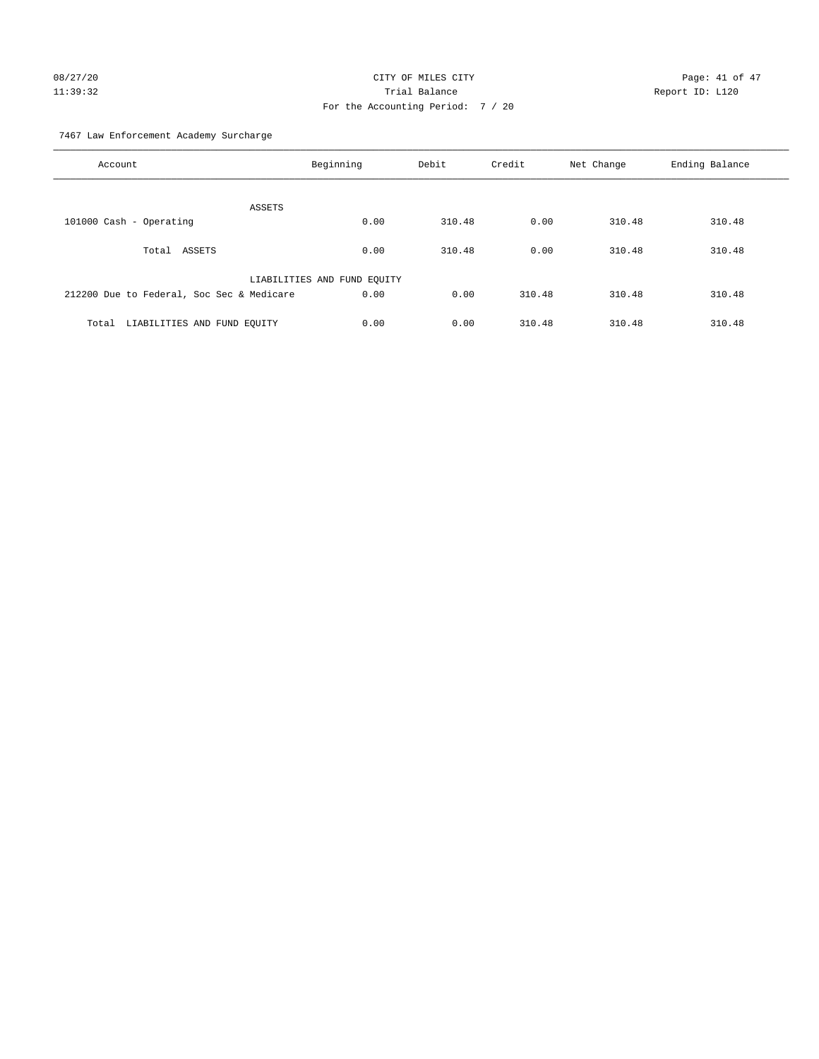# 08/27/20 Page: 41 of 47 11:39:32 Trial Balance Report ID: L120 For the Accounting Period: 7 / 20

7467 Law Enforcement Academy Surcharge

| Account                                   | Beginning                   | Debit  | Credit | Net Change | Ending Balance |
|-------------------------------------------|-----------------------------|--------|--------|------------|----------------|
| ASSETS                                    |                             |        |        |            |                |
| 101000 Cash - Operating                   | 0.00                        | 310.48 | 0.00   | 310.48     | 310.48         |
| Total ASSETS                              | 0.00                        | 310.48 | 0.00   | 310.48     | 310.48         |
|                                           | LIABILITIES AND FUND EQUITY |        |        |            |                |
| 212200 Due to Federal, Soc Sec & Medicare | 0.00                        | 0.00   | 310.48 | 310.48     | 310.48         |
| LIABILITIES AND FUND EQUITY<br>Total      | 0.00                        | 0.00   | 310.48 | 310.48     | 310.48         |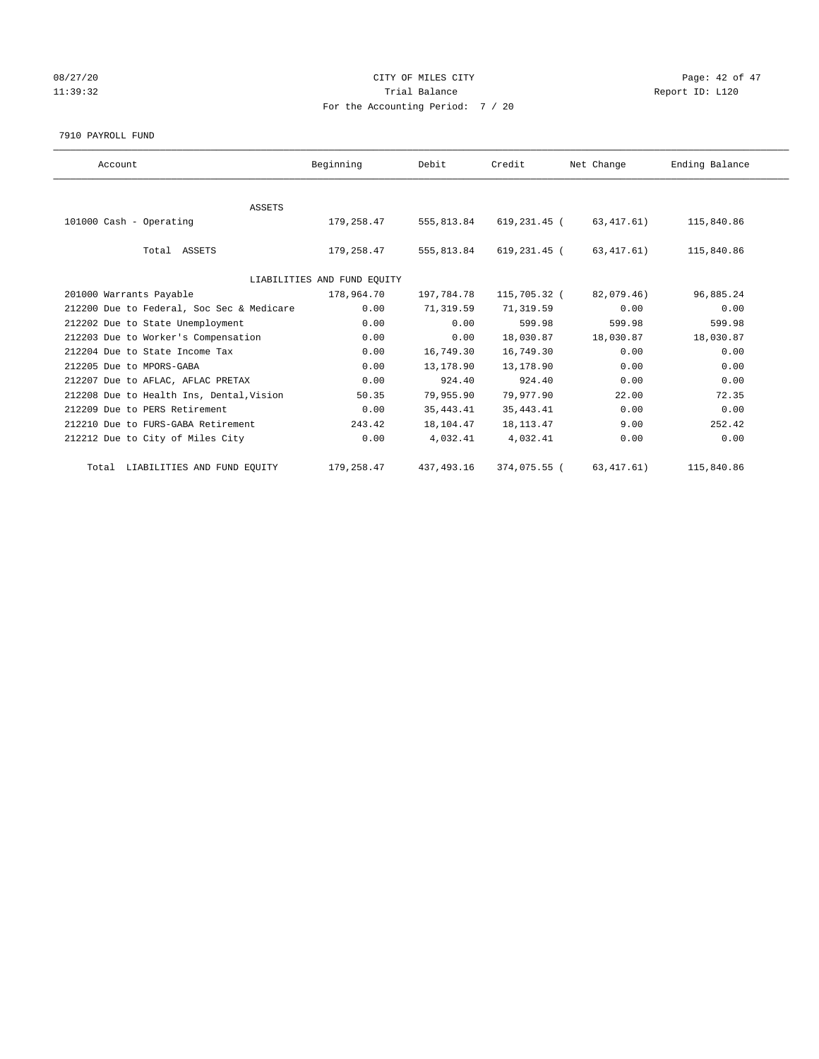# 08/27/20 Page: 42 of 47 11:39:32 Report ID: L120 For the Accounting Period: 7 / 20

#### 7910 PAYROLL FUND

| Account                                   | Beginning                   | Debit       | Credit       | Net Change  | Ending Balance |  |
|-------------------------------------------|-----------------------------|-------------|--------------|-------------|----------------|--|
|                                           |                             |             |              |             |                |  |
| ASSETS                                    |                             |             |              |             |                |  |
| 101000 Cash - Operating                   | 179,258.47                  | 555,813.84  | 619,231.45 ( | 63,417.61)  | 115,840.86     |  |
|                                           |                             |             |              |             |                |  |
| Total ASSETS                              | 179,258.47                  | 555,813.84  | 619,231.45 ( | 63, 417.61) | 115,840.86     |  |
|                                           | LIABILITIES AND FUND EQUITY |             |              |             |                |  |
| 201000 Warrants Payable                   | 178,964.70                  | 197,784.78  | 115,705.32 ( | 82,079.46)  | 96,885.24      |  |
| 212200 Due to Federal, Soc Sec & Medicare | 0.00                        | 71,319.59   | 71,319.59    | 0.00        | 0.00           |  |
| 212202 Due to State Unemployment          | 0.00                        | 0.00        | 599.98       | 599.98      | 599.98         |  |
| 212203 Due to Worker's Compensation       | 0.00                        | 0.00        | 18,030.87    | 18,030.87   | 18,030.87      |  |
| 212204 Due to State Income Tax            | 0.00                        | 16,749.30   | 16,749.30    | 0.00        | 0.00           |  |
| 212205 Due to MPORS-GABA                  | 0.00                        | 13,178.90   | 13,178.90    | 0.00        | 0.00           |  |
| 212207 Due to AFLAC, AFLAC PRETAX         | 0.00                        | 924.40      | 924.40       | 0.00        | 0.00           |  |
| 212208 Due to Health Ins, Dental, Vision  | 50.35                       | 79,955.90   | 79,977.90    | 22.00       | 72.35          |  |
| 212209 Due to PERS Retirement             | 0.00                        | 35, 443.41  | 35, 443. 41  | 0.00        | 0.00           |  |
| 212210 Due to FURS-GABA Retirement        | 243.42                      | 18,104.47   | 18, 113. 47  | 9.00        | 252.42         |  |
| 212212 Due to City of Miles City          | 0.00                        | 4,032.41    | 4,032.41     | 0.00        | 0.00           |  |
| Total LIABILITIES AND FUND EQUITY         | 179,258.47                  | 437, 493.16 | 374,075.55 ( | 63, 417.61) | 115,840.86     |  |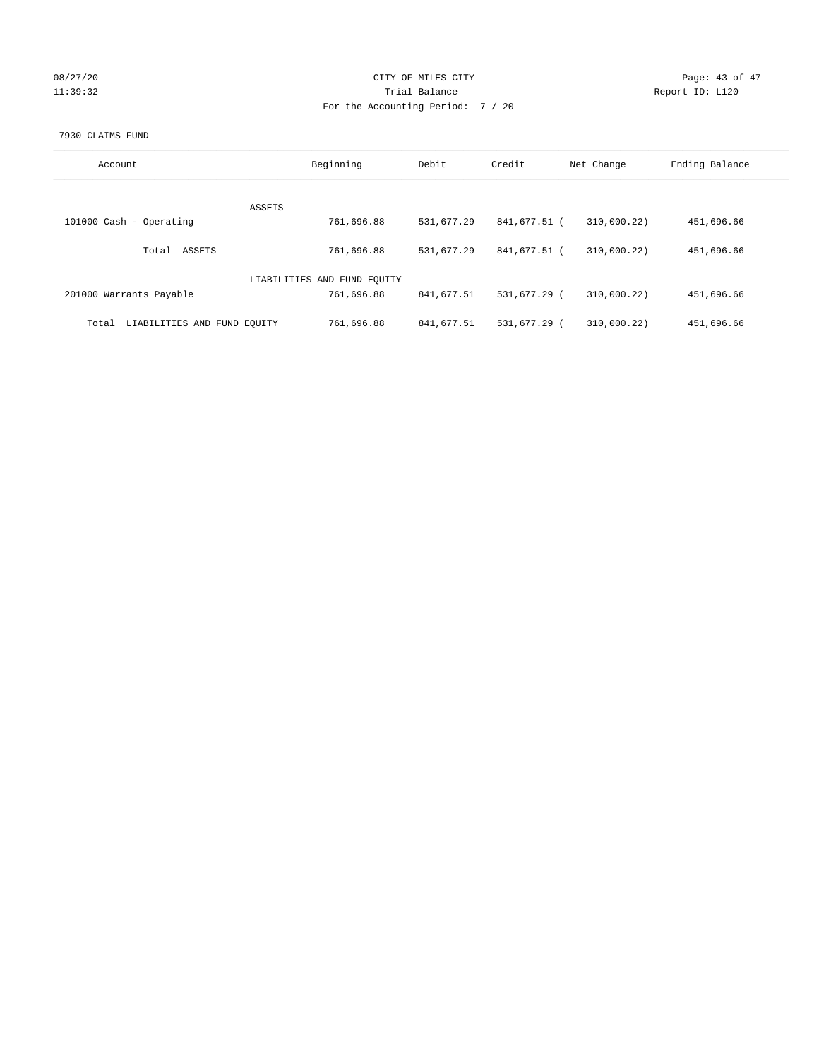| 08/27/20 |  |  |          |
|----------|--|--|----------|
|          |  |  | 11:39:32 |

# CITY OF MILES CITY CONTROL CONTROL CITY CHARGE PAGE: 43 of 47 Partial Balance and Communications of the Report ID: L120 For the Accounting Period: 7 / 20

## 7930 CLAIMS FUND

| Account                              | Beginning                   | Debit      | Credit       | Net Change  | Ending Balance |
|--------------------------------------|-----------------------------|------------|--------------|-------------|----------------|
| <b>ASSETS</b>                        |                             |            |              |             |                |
| 101000 Cash - Operating              | 761,696.88                  | 531,677.29 | 841,677.51 ( | 310,000.22) | 451,696.66     |
| ASSETS<br>Total                      | 761,696.88                  | 531,677.29 | 841,677.51 ( | 310,000.22) | 451,696.66     |
|                                      | LIABILITIES AND FUND EQUITY |            |              |             |                |
| 201000 Warrants Payable              | 761,696.88                  | 841,677.51 | 531,677.29 ( | 310,000.22) | 451,696.66     |
| LIABILITIES AND FUND EQUITY<br>Total | 761,696.88                  | 841,677.51 | 531,677.29 ( | 310.000.22  | 451,696.66     |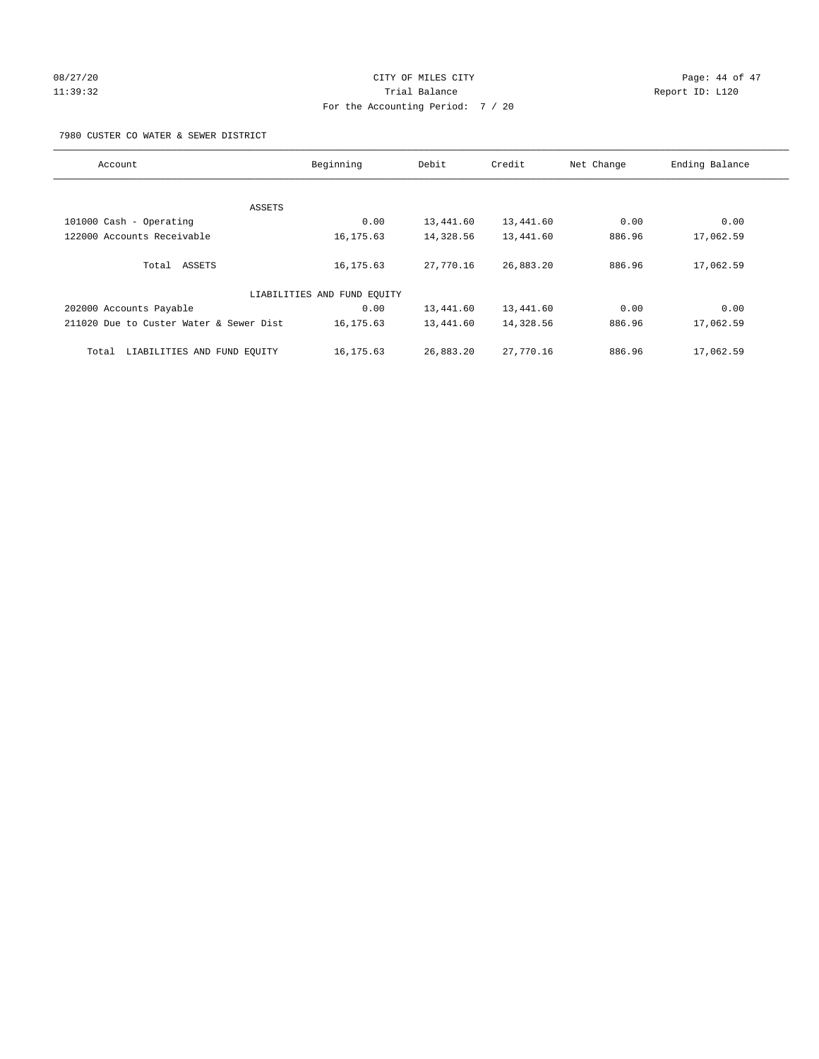# 08/27/20 Page: 44 of 47 11:39:32 Trial Balance Report ID: L120 For the Accounting Period: 7 / 20

7980 CUSTER CO WATER & SEWER DISTRICT

| Account                                 | Beginning                   | Debit     | Credit    | Net Change | Ending Balance |
|-----------------------------------------|-----------------------------|-----------|-----------|------------|----------------|
|                                         |                             |           |           |            |                |
| ASSETS                                  |                             |           |           |            |                |
| 101000 Cash - Operating                 | 0.00                        | 13,441.60 | 13,441.60 | 0.00       | 0.00           |
| 122000 Accounts Receivable              | 16, 175.63                  | 14,328.56 | 13,441.60 | 886.96     | 17,062.59      |
| Total ASSETS                            | 16, 175.63                  | 27,770.16 | 26,883.20 | 886.96     | 17,062.59      |
|                                         | LIABILITIES AND FUND EQUITY |           |           |            |                |
| 202000 Accounts Payable                 | 0.00                        | 13,441.60 | 13,441.60 | 0.00       | 0.00           |
| 211020 Due to Custer Water & Sewer Dist | 16, 175.63                  | 13,441.60 | 14,328.56 | 886.96     | 17,062.59      |
| LIABILITIES AND FUND EQUITY<br>Total    | 16, 175.63                  | 26,883.20 | 27,770.16 | 886.96     | 17,062.59      |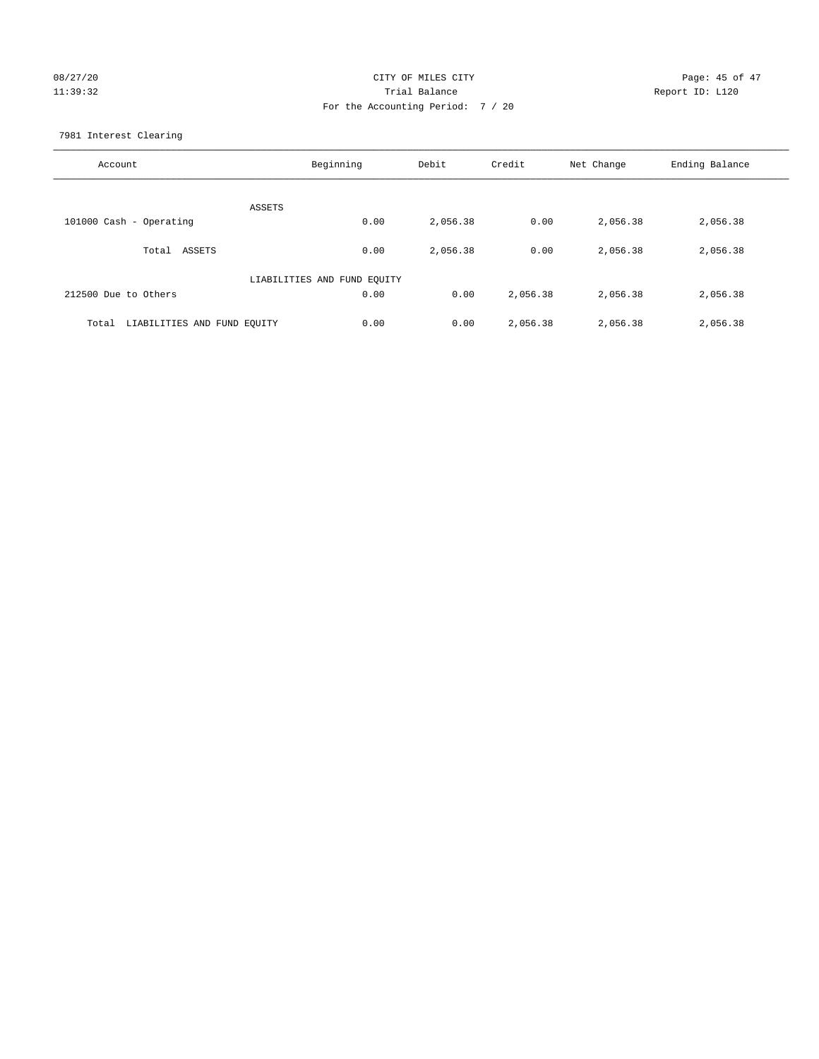# 08/27/20 Page: 45 of 47 11:39:32 Trial Balance Report ID: L120 For the Accounting Period: 7 / 20

7981 Interest Clearing

| Account                              | Beginning | Debit    | Credit   | Net Change | Ending Balance |
|--------------------------------------|-----------|----------|----------|------------|----------------|
|                                      | ASSETS    |          |          |            |                |
| 101000 Cash - Operating              | 0.00      | 2,056.38 | 0.00     | 2,056.38   | 2,056.38       |
| Total ASSETS                         | 0.00      | 2,056.38 | 0.00     | 2,056.38   | 2,056.38       |
| LIABILITIES AND FUND EQUITY          |           |          |          |            |                |
| 212500 Due to Others                 | 0.00      | 0.00     | 2,056.38 | 2,056.38   | 2,056.38       |
| LIABILITIES AND FUND EQUITY<br>Total | 0.00      | 0.00     | 2,056.38 | 2,056.38   | 2,056.38       |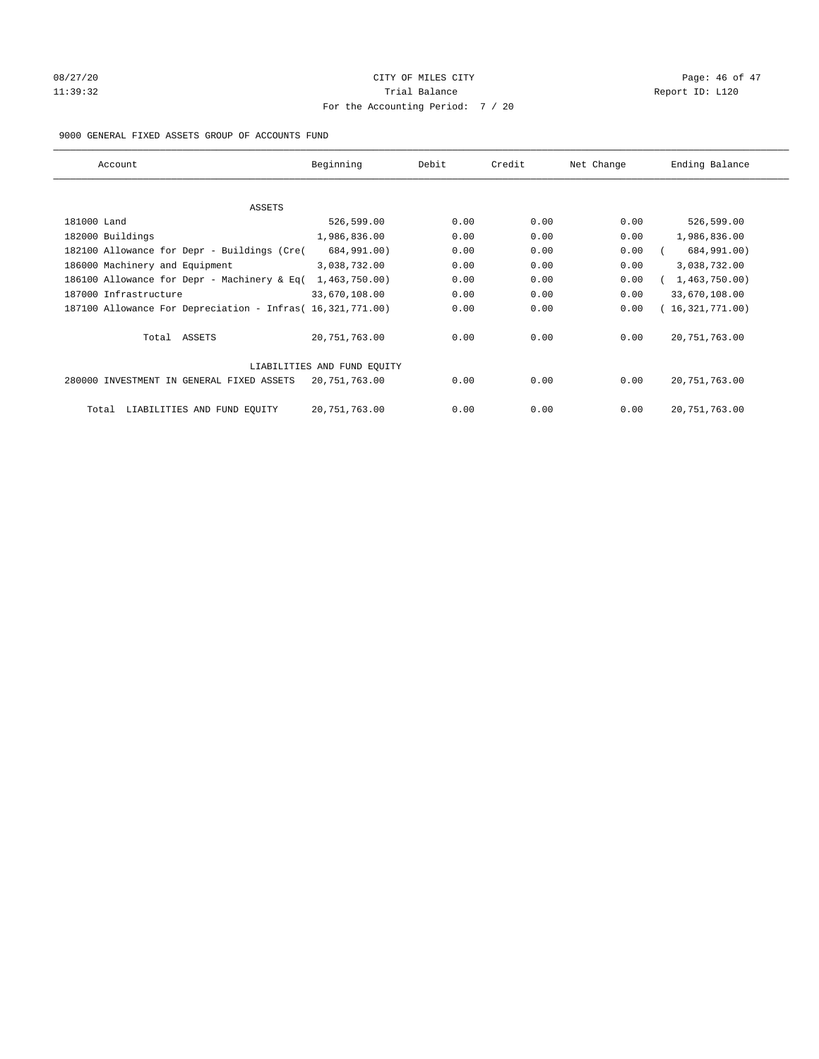# 08/27/20 Page: 46 of 47 11:39:32 Report ID: L120 For the Accounting Period: 7 / 20

## 9000 GENERAL FIXED ASSETS GROUP OF ACCOUNTS FUND

| Account                                                    | Beginning       | Debit | Credit | Net Change | Ending Balance  |
|------------------------------------------------------------|-----------------|-------|--------|------------|-----------------|
| ASSETS                                                     |                 |       |        |            |                 |
| 181000 Land                                                | 526,599.00      | 0.00  | 0.00   | 0.00       | 526,599.00      |
| 182000 Buildings                                           | 1,986,836.00    | 0.00  | 0.00   | 0.00       | 1,986,836.00    |
| 182100 Allowance for Depr - Buildings (Cre(                | 684,991.00)     | 0.00  | 0.00   | 0.00       | 684,991.00)     |
| 186000 Machinery and Equipment                             | 3,038,732.00    | 0.00  | 0.00   | 0.00       | 3,038,732.00    |
| 186100 Allowance for Depr - Machinery & Eq(                | 1,463,750.00)   | 0.00  | 0.00   | 0.00       | 1,463,750.00)   |
| 187000 Infrastructure                                      | 33,670,108.00   | 0.00  | 0.00   | 0.00       | 33,670,108.00   |
| 187100 Allowance For Depreciation - Infras( 16,321,771.00) |                 | 0.00  | 0.00   | 0.00       | 16,321,771.00)  |
| Total ASSETS                                               | 20,751,763.00   | 0.00  | 0.00   | 0.00       | 20, 751, 763.00 |
| LIABILITIES AND FUND EQUITY                                |                 |       |        |            |                 |
| 280000 INVESTMENT IN GENERAL FIXED ASSETS                  | 20,751,763.00   | 0.00  | 0.00   | 0.00       | 20, 751, 763.00 |
| LIABILITIES AND FUND EQUITY<br>Total                       | 20, 751, 763.00 | 0.00  | 0.00   | 0.00       | 20, 751, 763.00 |